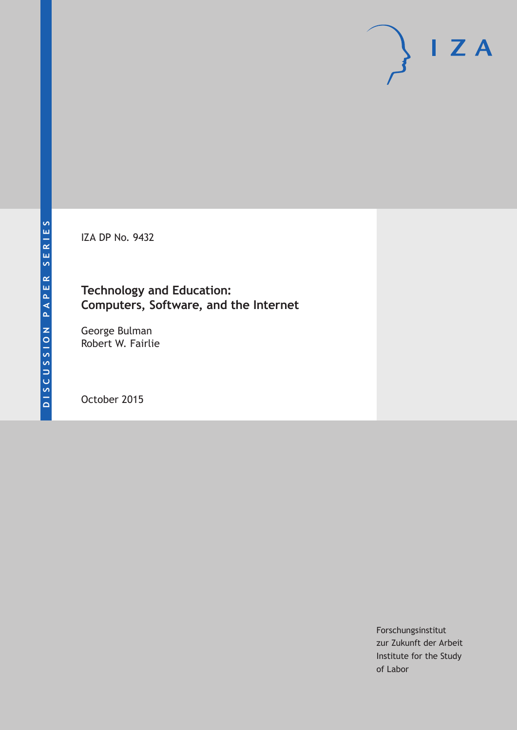IZA DP No. 9432

## **Technology and Education: Computers, Software, and the Internet**

George Bulman Robert W. Fairlie

October 2015

Forschungsinstitut zur Zukunft der Arbeit Institute for the Study of Labor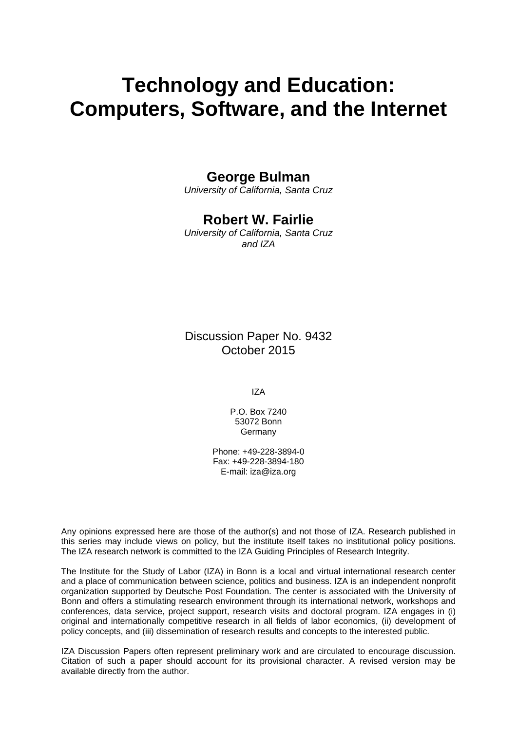# **Technology and Education: Computers, Software, and the Internet**

### **George Bulman**

*University of California, Santa Cruz* 

### **Robert W. Fairlie**

*University of California, Santa Cruz and IZA* 

Discussion Paper No. 9432 October 2015

IZA

P.O. Box 7240 53072 Bonn **Germany** 

Phone: +49-228-3894-0 Fax: +49-228-3894-180 E-mail: iza@iza.org

Any opinions expressed here are those of the author(s) and not those of IZA. Research published in this series may include views on policy, but the institute itself takes no institutional policy positions. The IZA research network is committed to the IZA Guiding Principles of Research Integrity.

The Institute for the Study of Labor (IZA) in Bonn is a local and virtual international research center and a place of communication between science, politics and business. IZA is an independent nonprofit organization supported by Deutsche Post Foundation. The center is associated with the University of Bonn and offers a stimulating research environment through its international network, workshops and conferences, data service, project support, research visits and doctoral program. IZA engages in (i) original and internationally competitive research in all fields of labor economics, (ii) development of policy concepts, and (iii) dissemination of research results and concepts to the interested public.

IZA Discussion Papers often represent preliminary work and are circulated to encourage discussion. Citation of such a paper should account for its provisional character. A revised version may be available directly from the author.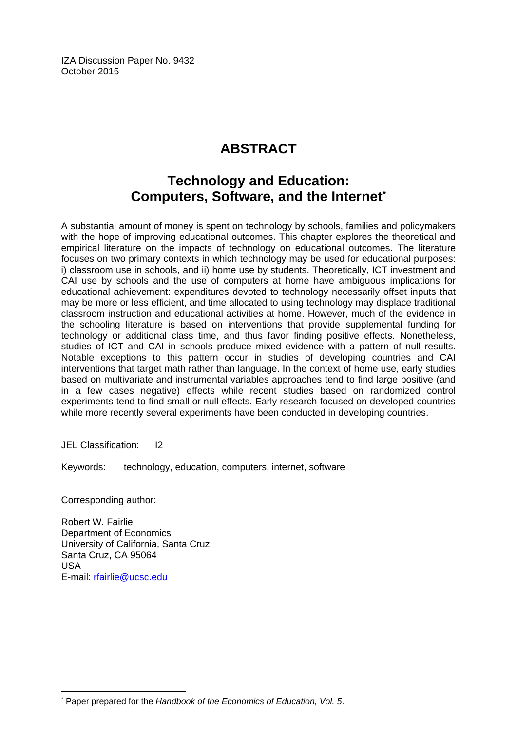IZA Discussion Paper No. 9432 October 2015

# **ABSTRACT**

# **Technology and Education: Computers, Software, and the Internet\***

A substantial amount of money is spent on technology by schools, families and policymakers with the hope of improving educational outcomes. This chapter explores the theoretical and empirical literature on the impacts of technology on educational outcomes. The literature focuses on two primary contexts in which technology may be used for educational purposes: i) classroom use in schools, and ii) home use by students. Theoretically, ICT investment and CAI use by schools and the use of computers at home have ambiguous implications for educational achievement: expenditures devoted to technology necessarily offset inputs that may be more or less efficient, and time allocated to using technology may displace traditional classroom instruction and educational activities at home. However, much of the evidence in the schooling literature is based on interventions that provide supplemental funding for technology or additional class time, and thus favor finding positive effects. Nonetheless, studies of ICT and CAI in schools produce mixed evidence with a pattern of null results. Notable exceptions to this pattern occur in studies of developing countries and CAI interventions that target math rather than language. In the context of home use, early studies based on multivariate and instrumental variables approaches tend to find large positive (and in a few cases negative) effects while recent studies based on randomized control experiments tend to find small or null effects. Early research focused on developed countries while more recently several experiments have been conducted in developing countries.

JEL Classification: I2

Keywords: technology, education, computers, internet, software

Corresponding author:

 $\overline{a}$ 

Robert W. Fairlie Department of Economics University of California, Santa Cruz Santa Cruz, CA 95064 USA E-mail: rfairlie@ucsc.edu

<sup>\*</sup> Paper prepared for the *Handbook of the Economics of Education, Vol. 5*.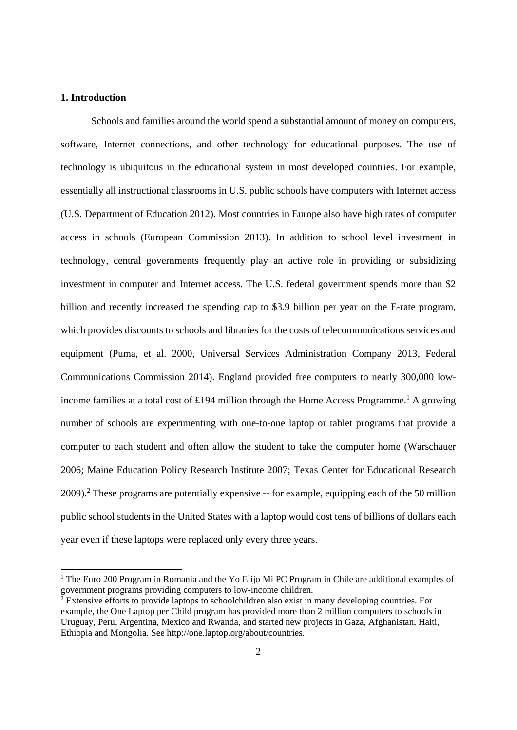#### **1. Introduction**

Schools and families around the world spend a substantial amount of money on computers, software, Internet connections, and other technology for educational purposes. The use of technology is ubiquitous in the educational system in most developed countries. For example, essentially all instructional classrooms in U.S. public schools have computers with Internet access (U.S. Department of Education 2012). Most countries in Europe also have high rates of computer access in schools (European Commission 2013). In addition to school level investment in technology, central governments frequently play an active role in providing or subsidizing investment in computer and Internet access. The U.S. federal government spends more than \$2 billion and recently increased the spending cap to \$3.9 billion per year on the E-rate program, which provides discounts to schools and libraries for the costs of telecommunications services and equipment (Puma, et al. 2000, Universal Services Administration Company 2013, Federal Communications Commission 2014). England provided free computers to nearly 300,000 lowincome families at a total cost of £194 million through the Home Access Programme.<sup>1</sup> A growing number of schools are experimenting with one-to-one laptop or tablet programs that provide a computer to each student and often allow the student to take the computer home (Warschauer 2006; Maine Education Policy Research Institute 2007; Texas Center for Educational Research 2009).<sup>2</sup> These programs are potentially expensive -- for example, equipping each of the 50 million public school students in the United States with a laptop would cost tens of billions of dollars each year even if these laptops were replaced only every three years.

<sup>&</sup>lt;sup>1</sup> The Euro 200 Program in Romania and the Yo Elijo Mi PC Program in Chile are additional examples of government programs providing computers to low-income children. 2 Extensive efforts to provide laptops to schoolchildren also exist in many developing countries. For

example, the One Laptop per Child program has provided more than 2 million computers to schools in Uruguay, Peru, Argentina, Mexico and Rwanda, and started new projects in Gaza, Afghanistan, Haiti, Ethiopia and Mongolia. See http://one.laptop.org/about/countries.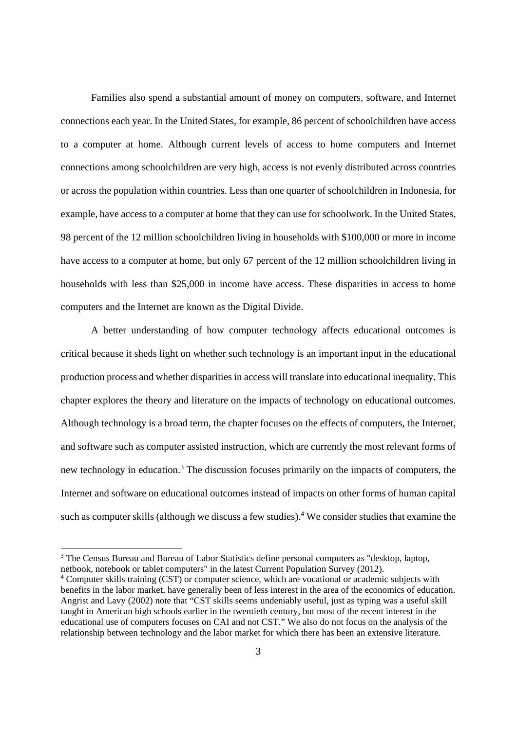Families also spend a substantial amount of money on computers, software, and Internet connections each year. In the United States, for example, 86 percent of schoolchildren have access to a computer at home. Although current levels of access to home computers and Internet connections among schoolchildren are very high, access is not evenly distributed across countries or across the population within countries. Less than one quarter of schoolchildren in Indonesia, for example, have access to a computer at home that they can use for schoolwork. In the United States, 98 percent of the 12 million schoolchildren living in households with \$100,000 or more in income have access to a computer at home, but only 67 percent of the 12 million schoolchildren living in households with less than \$25,000 in income have access. These disparities in access to home computers and the Internet are known as the Digital Divide.

 A better understanding of how computer technology affects educational outcomes is critical because it sheds light on whether such technology is an important input in the educational production process and whether disparities in access will translate into educational inequality. This chapter explores the theory and literature on the impacts of technology on educational outcomes. Although technology is a broad term, the chapter focuses on the effects of computers, the Internet, and software such as computer assisted instruction, which are currently the most relevant forms of new technology in education.<sup>3</sup> The discussion focuses primarily on the impacts of computers, the Internet and software on educational outcomes instead of impacts on other forms of human capital such as computer skills (although we discuss a few studies).<sup>4</sup> We consider studies that examine the

<sup>&</sup>lt;sup>3</sup> The Census Bureau and Bureau of Labor Statistics define personal computers as "desktop, laptop, netbook, notebook or tablet computers" in the latest Current Population Survey (2012).

<sup>&</sup>lt;sup>4</sup> Computer skills training (CST) or computer science, which are vocational or academic subjects with benefits in the labor market, have generally been of less interest in the area of the economics of education. Angrist and Lavy (2002) note that "CST skills seems undeniably useful, just as typing was a useful skill taught in American high schools earlier in the twentieth century, but most of the recent interest in the educational use of computers focuses on CAI and not CST." We also do not focus on the analysis of the relationship between technology and the labor market for which there has been an extensive literature.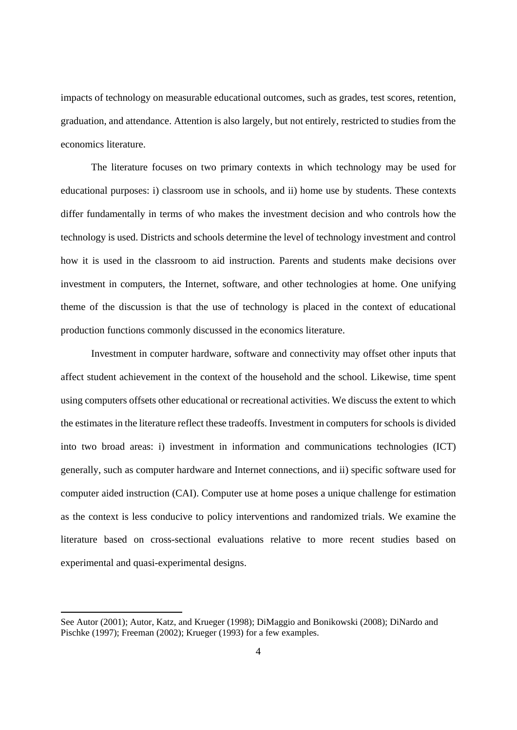impacts of technology on measurable educational outcomes, such as grades, test scores, retention, graduation, and attendance. Attention is also largely, but not entirely, restricted to studies from the economics literature.

The literature focuses on two primary contexts in which technology may be used for educational purposes: i) classroom use in schools, and ii) home use by students. These contexts differ fundamentally in terms of who makes the investment decision and who controls how the technology is used. Districts and schools determine the level of technology investment and control how it is used in the classroom to aid instruction. Parents and students make decisions over investment in computers, the Internet, software, and other technologies at home. One unifying theme of the discussion is that the use of technology is placed in the context of educational production functions commonly discussed in the economics literature.

Investment in computer hardware, software and connectivity may offset other inputs that affect student achievement in the context of the household and the school. Likewise, time spent using computers offsets other educational or recreational activities. We discuss the extent to which the estimates in the literature reflect these tradeoffs. Investment in computers for schools is divided into two broad areas: i) investment in information and communications technologies (ICT) generally, such as computer hardware and Internet connections, and ii) specific software used for computer aided instruction (CAI). Computer use at home poses a unique challenge for estimation as the context is less conducive to policy interventions and randomized trials. We examine the literature based on cross-sectional evaluations relative to more recent studies based on experimental and quasi-experimental designs.

See Autor (2001); Autor, Katz, and Krueger (1998); DiMaggio and Bonikowski (2008); DiNardo and Pischke (1997); Freeman (2002); Krueger (1993) for a few examples.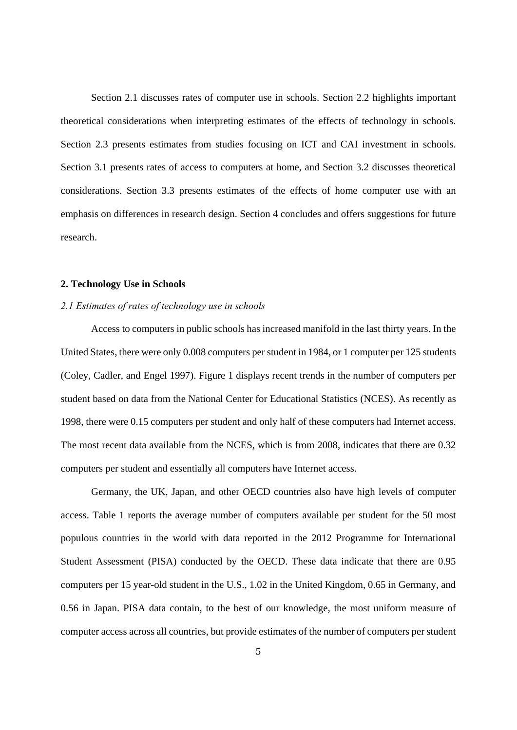Section 2.1 discusses rates of computer use in schools. Section 2.2 highlights important theoretical considerations when interpreting estimates of the effects of technology in schools. Section 2.3 presents estimates from studies focusing on ICT and CAI investment in schools. Section 3.1 presents rates of access to computers at home, and Section 3.2 discusses theoretical considerations. Section 3.3 presents estimates of the effects of home computer use with an emphasis on differences in research design. Section 4 concludes and offers suggestions for future research.

#### **2. Technology Use in Schools**

#### *2.1 Estimates of rates of technology use in schools*

Access to computers in public schools has increased manifold in the last thirty years. In the United States, there were only 0.008 computers per student in 1984, or 1 computer per 125 students (Coley, Cadler, and Engel 1997). Figure 1 displays recent trends in the number of computers per student based on data from the National Center for Educational Statistics (NCES). As recently as 1998, there were 0.15 computers per student and only half of these computers had Internet access. The most recent data available from the NCES, which is from 2008, indicates that there are 0.32 computers per student and essentially all computers have Internet access.

Germany, the UK, Japan, and other OECD countries also have high levels of computer access. Table 1 reports the average number of computers available per student for the 50 most populous countries in the world with data reported in the 2012 Programme for International Student Assessment (PISA) conducted by the OECD. These data indicate that there are 0.95 computers per 15 year-old student in the U.S., 1.02 in the United Kingdom, 0.65 in Germany, and 0.56 in Japan. PISA data contain, to the best of our knowledge, the most uniform measure of computer access across all countries, but provide estimates of the number of computers per student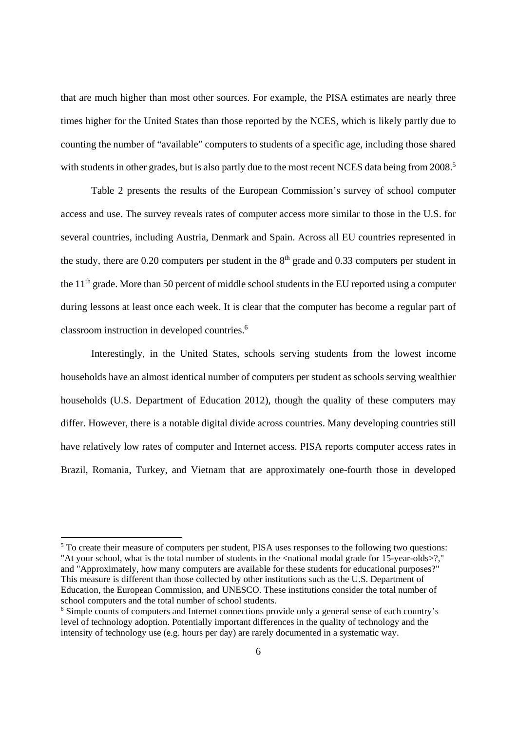that are much higher than most other sources. For example, the PISA estimates are nearly three times higher for the United States than those reported by the NCES, which is likely partly due to counting the number of "available" computers to students of a specific age, including those shared with students in other grades, but is also partly due to the most recent NCES data being from 2008.<sup>5</sup>

Table 2 presents the results of the European Commission's survey of school computer access and use. The survey reveals rates of computer access more similar to those in the U.S. for several countries, including Austria, Denmark and Spain. Across all EU countries represented in the study, there are  $0.20$  computers per student in the  $8<sup>th</sup>$  grade and  $0.33$  computers per student in the  $11<sup>th</sup>$  grade. More than 50 percent of middle school students in the EU reported using a computer during lessons at least once each week. It is clear that the computer has become a regular part of classroom instruction in developed countries.<sup>6</sup>

Interestingly, in the United States, schools serving students from the lowest income households have an almost identical number of computers per student as schools serving wealthier households (U.S. Department of Education 2012), though the quality of these computers may differ. However, there is a notable digital divide across countries. Many developing countries still have relatively low rates of computer and Internet access. PISA reports computer access rates in Brazil, Romania, Turkey, and Vietnam that are approximately one-fourth those in developed

<sup>&</sup>lt;sup>5</sup> To create their measure of computers per student, PISA uses responses to the following two questions: "At your school, what is the total number of students in the <national modal grade for 15-year-olds>?," and "Approximately, how many computers are available for these students for educational purposes?" This measure is different than those collected by other institutions such as the U.S. Department of Education, the European Commission, and UNESCO. These institutions consider the total number of school computers and the total number of school students.

<sup>&</sup>lt;sup>6</sup> Simple counts of computers and Internet connections provide only a general sense of each country's level of technology adoption. Potentially important differences in the quality of technology and the intensity of technology use (e.g. hours per day) are rarely documented in a systematic way.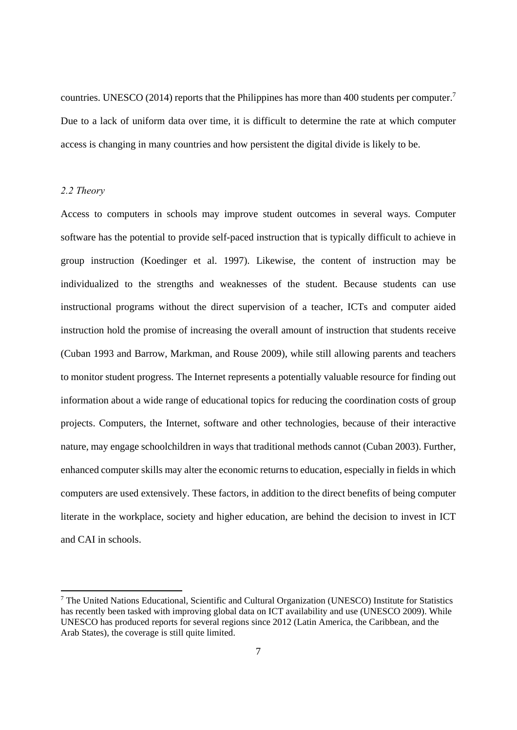countries. UNESCO (2014) reports that the Philippines has more than 400 students per computer.<sup>7</sup> Due to a lack of uniform data over time, it is difficult to determine the rate at which computer access is changing in many countries and how persistent the digital divide is likely to be.

#### *2.2 Theory*

Access to computers in schools may improve student outcomes in several ways. Computer software has the potential to provide self-paced instruction that is typically difficult to achieve in group instruction (Koedinger et al. 1997). Likewise, the content of instruction may be individualized to the strengths and weaknesses of the student. Because students can use instructional programs without the direct supervision of a teacher, ICTs and computer aided instruction hold the promise of increasing the overall amount of instruction that students receive (Cuban 1993 and Barrow, Markman, and Rouse 2009), while still allowing parents and teachers to monitor student progress. The Internet represents a potentially valuable resource for finding out information about a wide range of educational topics for reducing the coordination costs of group projects. Computers, the Internet, software and other technologies, because of their interactive nature, may engage schoolchildren in ways that traditional methods cannot (Cuban 2003). Further, enhanced computer skills may alter the economic returns to education, especially in fields in which computers are used extensively. These factors, in addition to the direct benefits of being computer literate in the workplace, society and higher education, are behind the decision to invest in ICT and CAI in schools.

<sup>&</sup>lt;sup>7</sup> The United Nations Educational, Scientific and Cultural Organization (UNESCO) Institute for Statistics has recently been tasked with improving global data on ICT availability and use (UNESCO 2009). While UNESCO has produced reports for several regions since 2012 (Latin America, the Caribbean, and the Arab States), the coverage is still quite limited.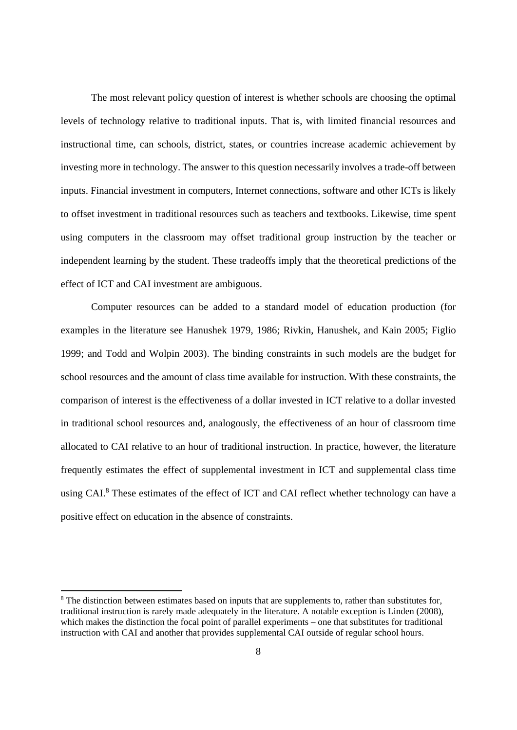The most relevant policy question of interest is whether schools are choosing the optimal levels of technology relative to traditional inputs. That is, with limited financial resources and instructional time, can schools, district, states, or countries increase academic achievement by investing more in technology. The answer to this question necessarily involves a trade-off between inputs. Financial investment in computers, Internet connections, software and other ICTs is likely to offset investment in traditional resources such as teachers and textbooks. Likewise, time spent using computers in the classroom may offset traditional group instruction by the teacher or independent learning by the student. These tradeoffs imply that the theoretical predictions of the effect of ICT and CAI investment are ambiguous.

Computer resources can be added to a standard model of education production (for examples in the literature see Hanushek 1979, 1986; Rivkin, Hanushek, and Kain 2005; Figlio 1999; and Todd and Wolpin 2003). The binding constraints in such models are the budget for school resources and the amount of class time available for instruction. With these constraints, the comparison of interest is the effectiveness of a dollar invested in ICT relative to a dollar invested in traditional school resources and, analogously, the effectiveness of an hour of classroom time allocated to CAI relative to an hour of traditional instruction. In practice, however, the literature frequently estimates the effect of supplemental investment in ICT and supplemental class time using CAI.<sup>8</sup> These estimates of the effect of ICT and CAI reflect whether technology can have a positive effect on education in the absence of constraints.

<sup>&</sup>lt;sup>8</sup> The distinction between estimates based on inputs that are supplements to, rather than substitutes for, traditional instruction is rarely made adequately in the literature. A notable exception is Linden (2008), which makes the distinction the focal point of parallel experiments – one that substitutes for traditional instruction with CAI and another that provides supplemental CAI outside of regular school hours.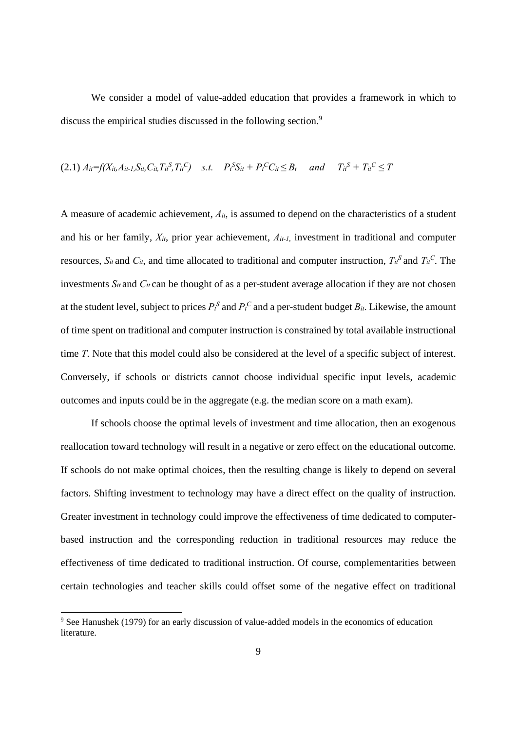We consider a model of value-added education that provides a framework in which to discuss the empirical studies discussed in the following section.<sup>9</sup>

$$
(2.1) A_{it} = f(X_{it}, A_{it-1}, S_{it}, C_{it}, T_{it}^{S}, T_{it}^{C}) \quad s.t. \quad P_t^S S_{it} + P_t^C C_{it} \leq B_t \quad and \quad T_{it}^S + T_{it}^C \leq T
$$

A measure of academic achievement, *Ait*, is assumed to depend on the characteristics of a student and his or her family, *Xit*, prior year achievement, *Ait-1*, investment in traditional and computer resources,  $S_{it}$  and  $C_{it}$ , and time allocated to traditional and computer instruction,  $T_{it}^S$  and  $T_{it}^C$ . The investments  $S_{it}$  and  $C_{it}$  can be thought of as a per-student average allocation if they are not chosen at the student level, subject to prices  $P_t^S$  and  $P_t^C$  and a per-student budget  $B_{it}$ . Likewise, the amount of time spent on traditional and computer instruction is constrained by total available instructional time *T*. Note that this model could also be considered at the level of a specific subject of interest. Conversely, if schools or districts cannot choose individual specific input levels, academic outcomes and inputs could be in the aggregate (e.g. the median score on a math exam).

If schools choose the optimal levels of investment and time allocation, then an exogenous reallocation toward technology will result in a negative or zero effect on the educational outcome. If schools do not make optimal choices, then the resulting change is likely to depend on several factors. Shifting investment to technology may have a direct effect on the quality of instruction. Greater investment in technology could improve the effectiveness of time dedicated to computerbased instruction and the corresponding reduction in traditional resources may reduce the effectiveness of time dedicated to traditional instruction. Of course, complementarities between certain technologies and teacher skills could offset some of the negative effect on traditional

<sup>&</sup>lt;sup>9</sup> See Hanushek (1979) for an early discussion of value-added models in the economics of education literature.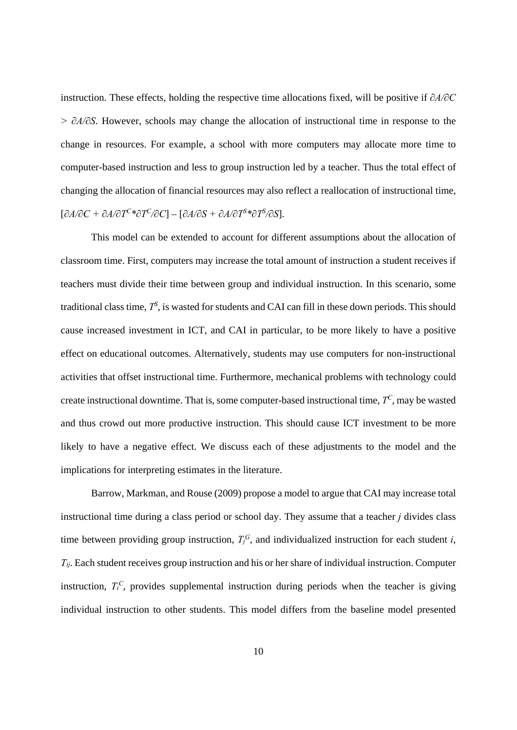instruction. These effects, holding the respective time allocations fixed, will be positive if *∂A/∂C > ∂A/∂S*. However, schools may change the allocation of instructional time in response to the change in resources. For example, a school with more computers may allocate more time to computer-based instruction and less to group instruction led by a teacher. Thus the total effect of changing the allocation of financial resources may also reflect a reallocation of instructional time,  $[\partial A/\partial C + \partial A/\partial T^C * \partial T^C/\partial C] - [\partial A/\partial S + \partial A/\partial T^S * \partial T^S/\partial S].$ 

This model can be extended to account for different assumptions about the allocation of classroom time. First, computers may increase the total amount of instruction a student receives if teachers must divide their time between group and individual instruction. In this scenario, some traditional class time,  $T^S$ , is wasted for students and CAI can fill in these down periods. This should cause increased investment in ICT, and CAI in particular, to be more likely to have a positive effect on educational outcomes. Alternatively, students may use computers for non-instructional activities that offset instructional time. Furthermore, mechanical problems with technology could create instructional downtime. That is, some computer-based instructional time, *T<sup>C</sup>*, may be wasted and thus crowd out more productive instruction. This should cause ICT investment to be more likely to have a negative effect. We discuss each of these adjustments to the model and the implications for interpreting estimates in the literature.

Barrow, Markman, and Rouse (2009) propose a model to argue that CAI may increase total instructional time during a class period or school day. They assume that a teacher *j* divides class time between providing group instruction,  $T_j^G$ , and individualized instruction for each student *i*, *Tij*. Each student receives group instruction and his or her share of individual instruction. Computer instruction,  $T_i^C$ , provides supplemental instruction during periods when the teacher is giving individual instruction to other students. This model differs from the baseline model presented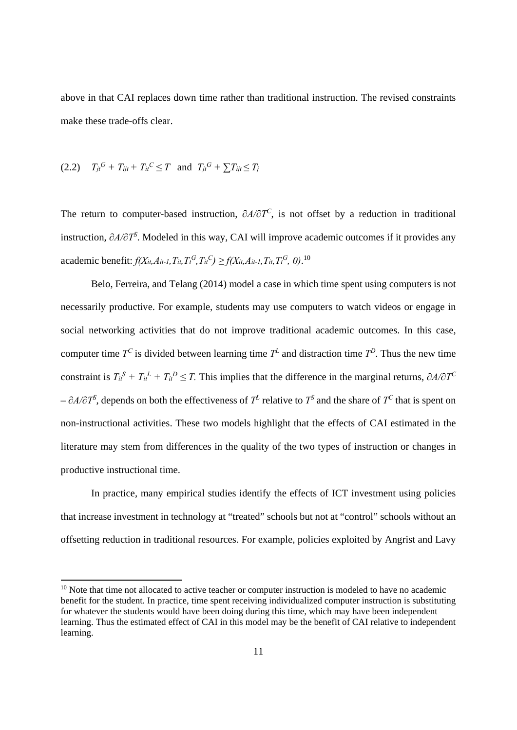above in that CAI replaces down time rather than traditional instruction. The revised constraints make these trade-offs clear.

(2.2) 
$$
T_{jt}^G + T_{ijt} + T_{it}^C \leq T
$$
 and  $T_{jt}^G + \sum T_{ijt} \leq T_j$ 

The return to computer-based instruction, *∂A/∂TC*, is not offset by a reduction in traditional instruction, *∂A/∂TS* . Modeled in this way, CAI will improve academic outcomes if it provides any academic benefit: *f(X<sub>it,</sub>A<sub>it-1,</sub>T<sub>it,</sub>T<sub>t</sub><sup>G</sup>,T<sub>it</sub><sup>C</sup>) ≥ <i>f(X<sub>it,Ait-1,T<sub>it</sub>,T<sub>t</sub><sup>G</sup>, 0)*.<sup>10</sup></sub>

Belo, Ferreira, and Telang (2014) model a case in which time spent using computers is not necessarily productive. For example, students may use computers to watch videos or engage in social networking activities that do not improve traditional academic outcomes. In this case, computer time  $T^C$  is divided between learning time  $T^L$  and distraction time  $T^D$ . Thus the new time constraint is  $T_{it}^{S} + T_{it}^{L} + T_{it}^{D} \leq T$ . This implies that the difference in the marginal returns,  $\partial A/\partial T^{C}$  $-\partial A/\partial T^S$ , depends on both the effectiveness of  $T^L$  relative to  $T^S$  and the share of  $T^C$  that is spent on non-instructional activities. These two models highlight that the effects of CAI estimated in the literature may stem from differences in the quality of the two types of instruction or changes in productive instructional time.

In practice, many empirical studies identify the effects of ICT investment using policies that increase investment in technology at "treated" schools but not at "control" schools without an offsetting reduction in traditional resources. For example, policies exploited by Angrist and Lavy

 $10$  Note that time not allocated to active teacher or computer instruction is modeled to have no academic benefit for the student. In practice, time spent receiving individualized computer instruction is substituting for whatever the students would have been doing during this time, which may have been independent learning. Thus the estimated effect of CAI in this model may be the benefit of CAI relative to independent learning.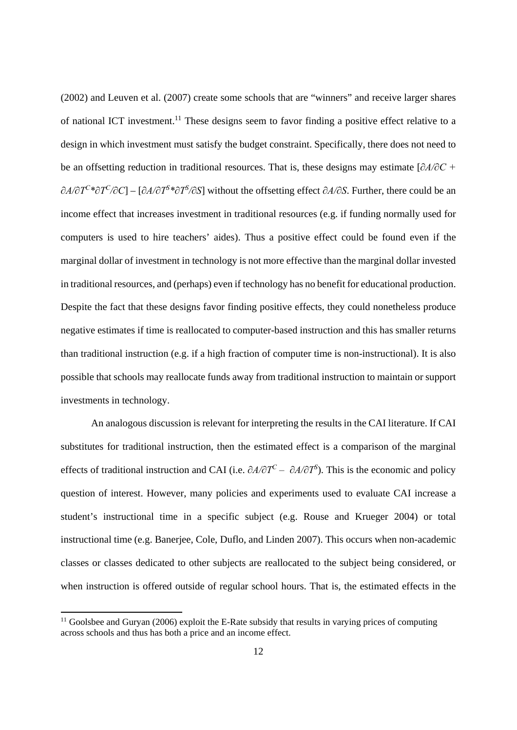(2002) and Leuven et al. (2007) create some schools that are "winners" and receive larger shares of national ICT investment.11 These designs seem to favor finding a positive effect relative to a design in which investment must satisfy the budget constraint. Specifically, there does not need to be an offsetting reduction in traditional resources. That is, these designs may estimate [*∂A/∂C +*   $\partial A/\partial T^{C*}\partial T^{C}/\partial C] - [\partial A/\partial T^{S*}\partial T^{S}/\partial S]$  without the offsetting effect  $\partial A/\partial S$ . Further, there could be an income effect that increases investment in traditional resources (e.g. if funding normally used for computers is used to hire teachers' aides). Thus a positive effect could be found even if the marginal dollar of investment in technology is not more effective than the marginal dollar invested in traditional resources, and (perhaps) even if technology has no benefit for educational production. Despite the fact that these designs favor finding positive effects, they could nonetheless produce negative estimates if time is reallocated to computer-based instruction and this has smaller returns than traditional instruction (e.g. if a high fraction of computer time is non-instructional). It is also possible that schools may reallocate funds away from traditional instruction to maintain or support investments in technology.

 An analogous discussion is relevant for interpreting the results in the CAI literature. If CAI substitutes for traditional instruction, then the estimated effect is a comparison of the marginal effects of traditional instruction and CAI (i.e. *∂A/∂TC – ∂A/∂TS* ). This is the economic and policy question of interest. However, many policies and experiments used to evaluate CAI increase a student's instructional time in a specific subject (e.g. Rouse and Krueger 2004) or total instructional time (e.g. Banerjee, Cole, Duflo, and Linden 2007). This occurs when non-academic classes or classes dedicated to other subjects are reallocated to the subject being considered, or when instruction is offered outside of regular school hours. That is, the estimated effects in the

 $11$  Goolsbee and Guryan (2006) exploit the E-Rate subsidy that results in varying prices of computing across schools and thus has both a price and an income effect.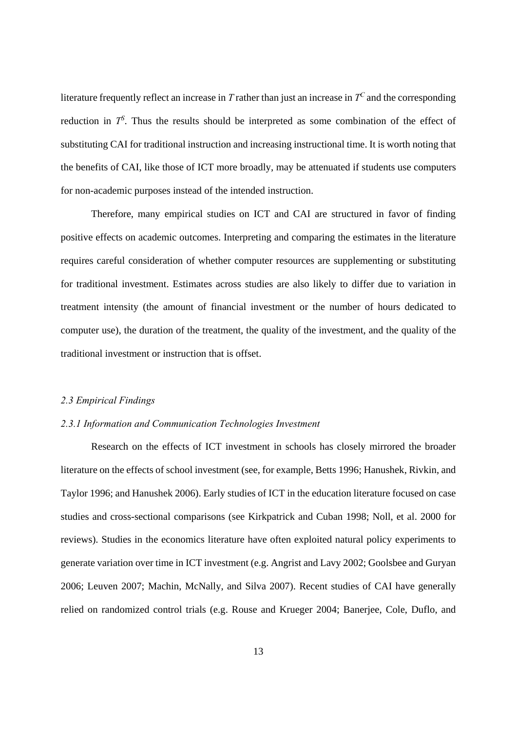literature frequently reflect an increase in  $T$  rather than just an increase in  $T<sup>C</sup>$  and the corresponding reduction in *TS* . Thus the results should be interpreted as some combination of the effect of substituting CAI for traditional instruction and increasing instructional time. It is worth noting that the benefits of CAI, like those of ICT more broadly, may be attenuated if students use computers for non-academic purposes instead of the intended instruction.

 Therefore, many empirical studies on ICT and CAI are structured in favor of finding positive effects on academic outcomes. Interpreting and comparing the estimates in the literature requires careful consideration of whether computer resources are supplementing or substituting for traditional investment. Estimates across studies are also likely to differ due to variation in treatment intensity (the amount of financial investment or the number of hours dedicated to computer use), the duration of the treatment, the quality of the investment, and the quality of the traditional investment or instruction that is offset.

#### *2.3 Empirical Findings*

#### *2.3.1 Information and Communication Technologies Investment*

Research on the effects of ICT investment in schools has closely mirrored the broader literature on the effects of school investment (see, for example, Betts 1996; Hanushek, Rivkin, and Taylor 1996; and Hanushek 2006). Early studies of ICT in the education literature focused on case studies and cross-sectional comparisons (see Kirkpatrick and Cuban 1998; Noll, et al. 2000 for reviews). Studies in the economics literature have often exploited natural policy experiments to generate variation over time in ICT investment (e.g. Angrist and Lavy 2002; Goolsbee and Guryan 2006; Leuven 2007; Machin, McNally, and Silva 2007). Recent studies of CAI have generally relied on randomized control trials (e.g. Rouse and Krueger 2004; Banerjee, Cole, Duflo, and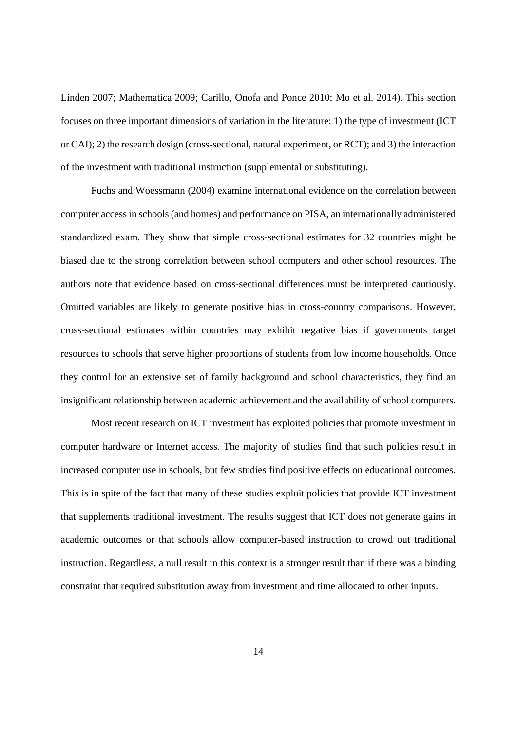Linden 2007; Mathematica 2009; Carillo, Onofa and Ponce 2010; Mo et al. 2014). This section focuses on three important dimensions of variation in the literature: 1) the type of investment (ICT or CAI); 2) the research design (cross-sectional, natural experiment, or RCT); and 3) the interaction of the investment with traditional instruction (supplemental or substituting).

Fuchs and Woessmann (2004) examine international evidence on the correlation between computer access in schools (and homes) and performance on PISA, an internationally administered standardized exam. They show that simple cross-sectional estimates for 32 countries might be biased due to the strong correlation between school computers and other school resources. The authors note that evidence based on cross-sectional differences must be interpreted cautiously. Omitted variables are likely to generate positive bias in cross-country comparisons. However, cross-sectional estimates within countries may exhibit negative bias if governments target resources to schools that serve higher proportions of students from low income households. Once they control for an extensive set of family background and school characteristics, they find an insignificant relationship between academic achievement and the availability of school computers.

Most recent research on ICT investment has exploited policies that promote investment in computer hardware or Internet access. The majority of studies find that such policies result in increased computer use in schools, but few studies find positive effects on educational outcomes. This is in spite of the fact that many of these studies exploit policies that provide ICT investment that supplements traditional investment. The results suggest that ICT does not generate gains in academic outcomes or that schools allow computer-based instruction to crowd out traditional instruction. Regardless, a null result in this context is a stronger result than if there was a binding constraint that required substitution away from investment and time allocated to other inputs.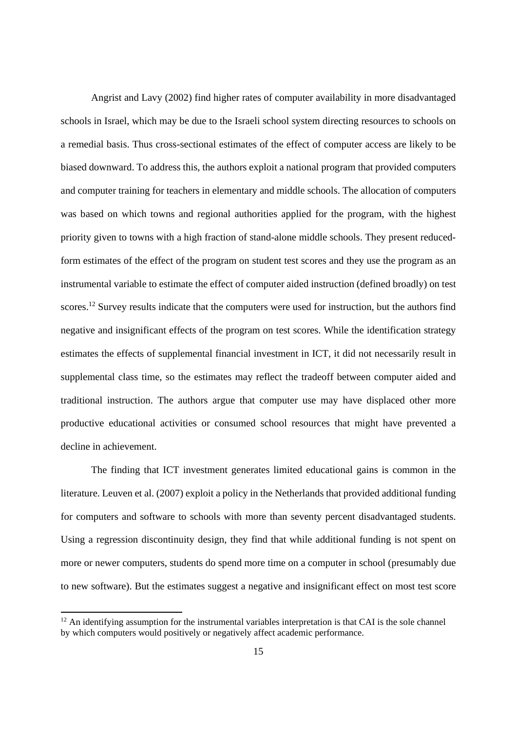Angrist and Lavy (2002) find higher rates of computer availability in more disadvantaged schools in Israel, which may be due to the Israeli school system directing resources to schools on a remedial basis. Thus cross-sectional estimates of the effect of computer access are likely to be biased downward. To address this, the authors exploit a national program that provided computers and computer training for teachers in elementary and middle schools. The allocation of computers was based on which towns and regional authorities applied for the program, with the highest priority given to towns with a high fraction of stand-alone middle schools. They present reducedform estimates of the effect of the program on student test scores and they use the program as an instrumental variable to estimate the effect of computer aided instruction (defined broadly) on test scores.<sup>12</sup> Survey results indicate that the computers were used for instruction, but the authors find negative and insignificant effects of the program on test scores. While the identification strategy estimates the effects of supplemental financial investment in ICT, it did not necessarily result in supplemental class time, so the estimates may reflect the tradeoff between computer aided and traditional instruction. The authors argue that computer use may have displaced other more productive educational activities or consumed school resources that might have prevented a decline in achievement.

The finding that ICT investment generates limited educational gains is common in the literature. Leuven et al. (2007) exploit a policy in the Netherlands that provided additional funding for computers and software to schools with more than seventy percent disadvantaged students. Using a regression discontinuity design, they find that while additional funding is not spent on more or newer computers, students do spend more time on a computer in school (presumably due to new software). But the estimates suggest a negative and insignificant effect on most test score

 $12$  An identifying assumption for the instrumental variables interpretation is that CAI is the sole channel by which computers would positively or negatively affect academic performance.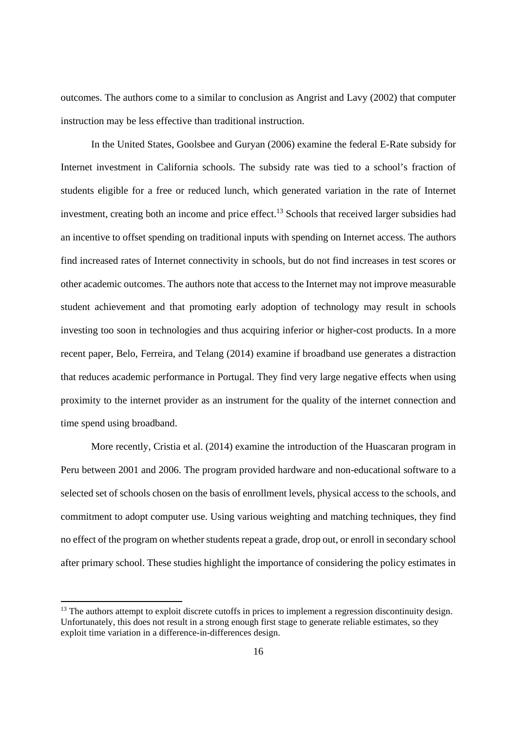outcomes. The authors come to a similar to conclusion as Angrist and Lavy (2002) that computer instruction may be less effective than traditional instruction.

In the United States, Goolsbee and Guryan (2006) examine the federal E-Rate subsidy for Internet investment in California schools. The subsidy rate was tied to a school's fraction of students eligible for a free or reduced lunch, which generated variation in the rate of Internet investment, creating both an income and price effect.<sup>13</sup> Schools that received larger subsidies had an incentive to offset spending on traditional inputs with spending on Internet access. The authors find increased rates of Internet connectivity in schools, but do not find increases in test scores or other academic outcomes. The authors note that access to the Internet may not improve measurable student achievement and that promoting early adoption of technology may result in schools investing too soon in technologies and thus acquiring inferior or higher-cost products. In a more recent paper, Belo, Ferreira, and Telang (2014) examine if broadband use generates a distraction that reduces academic performance in Portugal. They find very large negative effects when using proximity to the internet provider as an instrument for the quality of the internet connection and time spend using broadband.

More recently, Cristia et al. (2014) examine the introduction of the Huascaran program in Peru between 2001 and 2006. The program provided hardware and non-educational software to a selected set of schools chosen on the basis of enrollment levels, physical access to the schools, and commitment to adopt computer use. Using various weighting and matching techniques, they find no effect of the program on whether students repeat a grade, drop out, or enroll in secondary school after primary school. These studies highlight the importance of considering the policy estimates in

<sup>&</sup>lt;sup>13</sup> The authors attempt to exploit discrete cutoffs in prices to implement a regression discontinuity design. Unfortunately, this does not result in a strong enough first stage to generate reliable estimates, so they exploit time variation in a difference-in-differences design.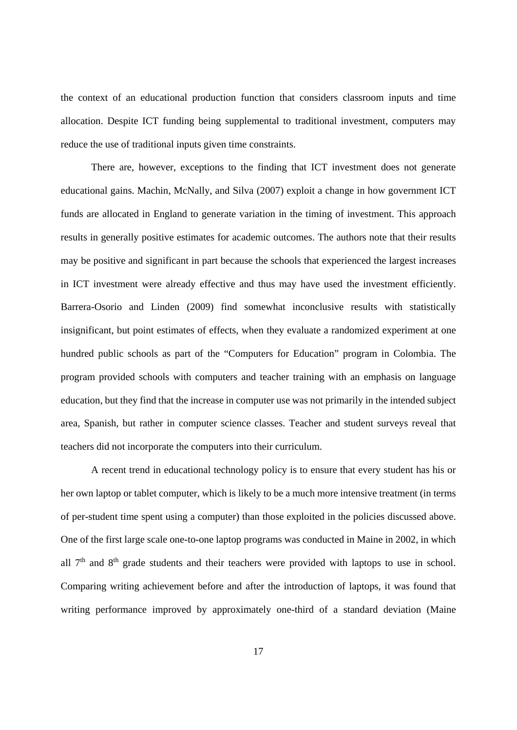the context of an educational production function that considers classroom inputs and time allocation. Despite ICT funding being supplemental to traditional investment, computers may reduce the use of traditional inputs given time constraints.

There are, however, exceptions to the finding that ICT investment does not generate educational gains. Machin, McNally, and Silva (2007) exploit a change in how government ICT funds are allocated in England to generate variation in the timing of investment. This approach results in generally positive estimates for academic outcomes. The authors note that their results may be positive and significant in part because the schools that experienced the largest increases in ICT investment were already effective and thus may have used the investment efficiently. Barrera-Osorio and Linden (2009) find somewhat inconclusive results with statistically insignificant, but point estimates of effects, when they evaluate a randomized experiment at one hundred public schools as part of the "Computers for Education" program in Colombia. The program provided schools with computers and teacher training with an emphasis on language education, but they find that the increase in computer use was not primarily in the intended subject area, Spanish, but rather in computer science classes. Teacher and student surveys reveal that teachers did not incorporate the computers into their curriculum.

A recent trend in educational technology policy is to ensure that every student has his or her own laptop or tablet computer, which is likely to be a much more intensive treatment (in terms of per-student time spent using a computer) than those exploited in the policies discussed above. One of the first large scale one-to-one laptop programs was conducted in Maine in 2002, in which all  $7<sup>th</sup>$  and  $8<sup>th</sup>$  grade students and their teachers were provided with laptops to use in school. Comparing writing achievement before and after the introduction of laptops, it was found that writing performance improved by approximately one-third of a standard deviation (Maine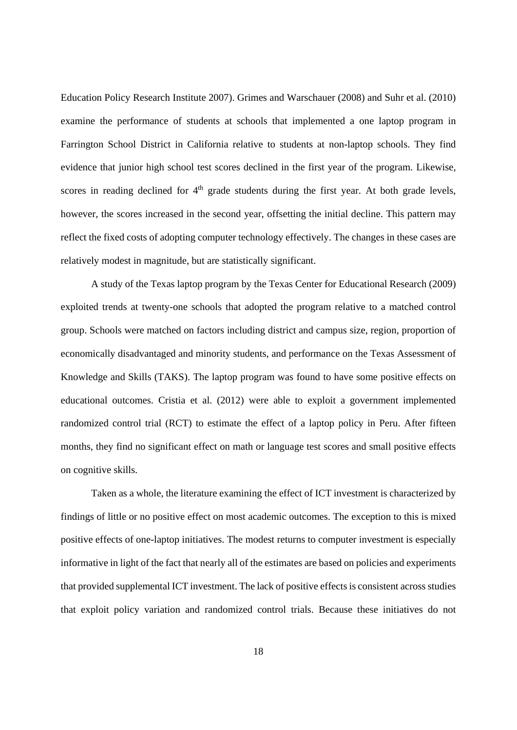Education Policy Research Institute 2007). Grimes and Warschauer (2008) and Suhr et al. (2010) examine the performance of students at schools that implemented a one laptop program in Farrington School District in California relative to students at non-laptop schools. They find evidence that junior high school test scores declined in the first year of the program. Likewise, scores in reading declined for  $4<sup>th</sup>$  grade students during the first year. At both grade levels, however, the scores increased in the second year, offsetting the initial decline. This pattern may reflect the fixed costs of adopting computer technology effectively. The changes in these cases are relatively modest in magnitude, but are statistically significant.

A study of the Texas laptop program by the Texas Center for Educational Research (2009) exploited trends at twenty-one schools that adopted the program relative to a matched control group. Schools were matched on factors including district and campus size, region, proportion of economically disadvantaged and minority students, and performance on the Texas Assessment of Knowledge and Skills (TAKS). The laptop program was found to have some positive effects on educational outcomes. Cristia et al. (2012) were able to exploit a government implemented randomized control trial (RCT) to estimate the effect of a laptop policy in Peru. After fifteen months, they find no significant effect on math or language test scores and small positive effects on cognitive skills.

Taken as a whole, the literature examining the effect of ICT investment is characterized by findings of little or no positive effect on most academic outcomes. The exception to this is mixed positive effects of one-laptop initiatives. The modest returns to computer investment is especially informative in light of the fact that nearly all of the estimates are based on policies and experiments that provided supplemental ICT investment. The lack of positive effects is consistent across studies that exploit policy variation and randomized control trials. Because these initiatives do not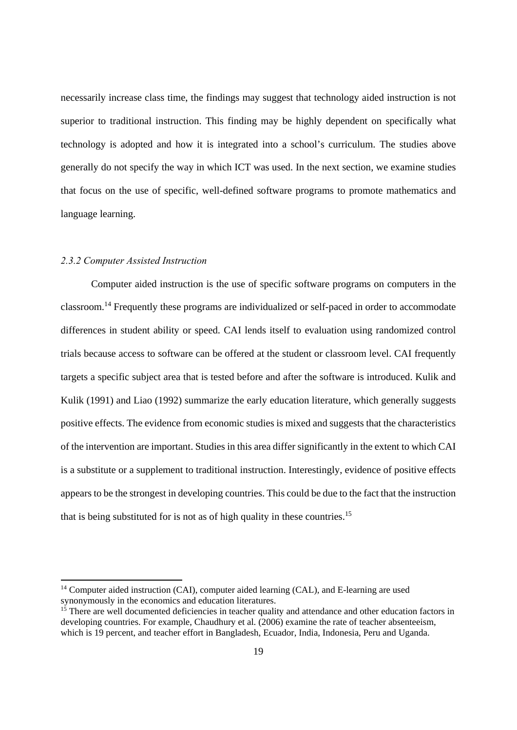necessarily increase class time, the findings may suggest that technology aided instruction is not superior to traditional instruction. This finding may be highly dependent on specifically what technology is adopted and how it is integrated into a school's curriculum. The studies above generally do not specify the way in which ICT was used. In the next section, we examine studies that focus on the use of specific, well-defined software programs to promote mathematics and language learning.

#### *2.3.2 Computer Assisted Instruction*

Computer aided instruction is the use of specific software programs on computers in the classroom.14 Frequently these programs are individualized or self-paced in order to accommodate differences in student ability or speed. CAI lends itself to evaluation using randomized control trials because access to software can be offered at the student or classroom level. CAI frequently targets a specific subject area that is tested before and after the software is introduced. Kulik and Kulik (1991) and Liao (1992) summarize the early education literature, which generally suggests positive effects. The evidence from economic studies is mixed and suggests that the characteristics of the intervention are important. Studies in this area differ significantly in the extent to which CAI is a substitute or a supplement to traditional instruction. Interestingly, evidence of positive effects appears to be the strongest in developing countries. This could be due to the fact that the instruction that is being substituted for is not as of high quality in these countries.<sup>15</sup>

<sup>&</sup>lt;sup>14</sup> Computer aided instruction (CAI), computer aided learning (CAL), and E-learning are used synonymously in the economics and education literatures.

<sup>&</sup>lt;sup>15</sup> There are well documented deficiencies in teacher quality and attendance and other education factors in developing countries. For example, Chaudhury et al. (2006) examine the rate of teacher absenteeism, which is 19 percent, and teacher effort in Bangladesh, Ecuador, India, Indonesia, Peru and Uganda.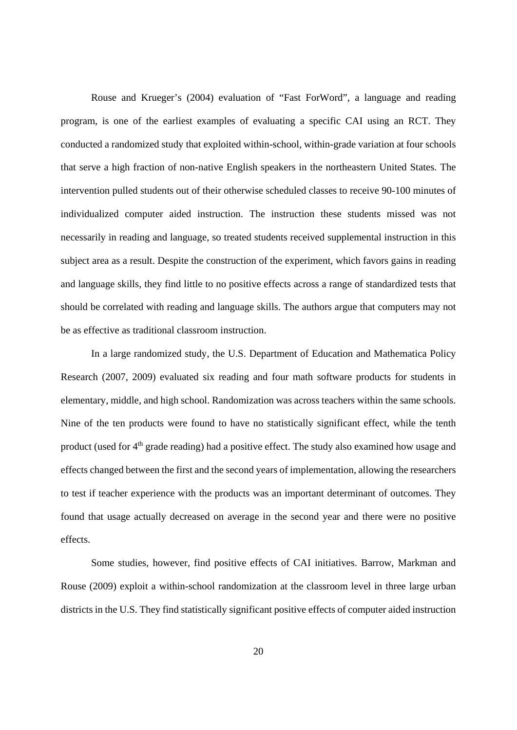Rouse and Krueger's (2004) evaluation of "Fast ForWord", a language and reading program, is one of the earliest examples of evaluating a specific CAI using an RCT. They conducted a randomized study that exploited within-school, within-grade variation at four schools that serve a high fraction of non-native English speakers in the northeastern United States. The intervention pulled students out of their otherwise scheduled classes to receive 90-100 minutes of individualized computer aided instruction. The instruction these students missed was not necessarily in reading and language, so treated students received supplemental instruction in this subject area as a result. Despite the construction of the experiment, which favors gains in reading and language skills, they find little to no positive effects across a range of standardized tests that should be correlated with reading and language skills. The authors argue that computers may not be as effective as traditional classroom instruction.

In a large randomized study, the U.S. Department of Education and Mathematica Policy Research (2007, 2009) evaluated six reading and four math software products for students in elementary, middle, and high school. Randomization was across teachers within the same schools. Nine of the ten products were found to have no statistically significant effect, while the tenth product (used for 4<sup>th</sup> grade reading) had a positive effect. The study also examined how usage and effects changed between the first and the second years of implementation, allowing the researchers to test if teacher experience with the products was an important determinant of outcomes. They found that usage actually decreased on average in the second year and there were no positive effects.

Some studies, however, find positive effects of CAI initiatives. Barrow, Markman and Rouse (2009) exploit a within-school randomization at the classroom level in three large urban districts in the U.S. They find statistically significant positive effects of computer aided instruction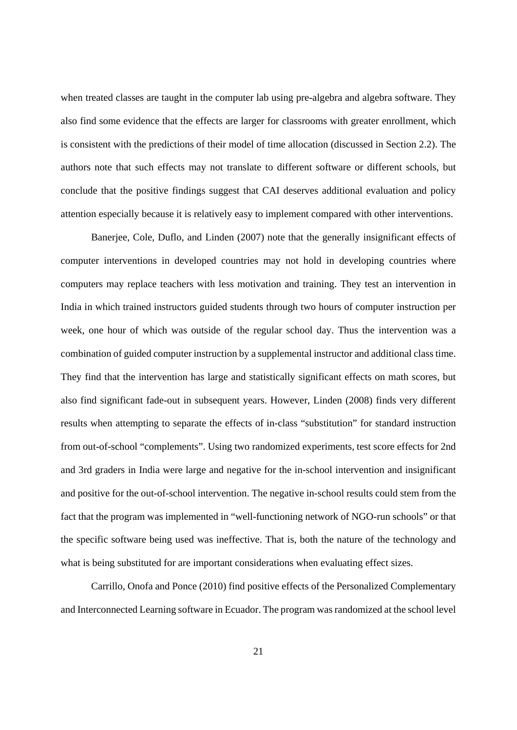when treated classes are taught in the computer lab using pre-algebra and algebra software. They also find some evidence that the effects are larger for classrooms with greater enrollment, which is consistent with the predictions of their model of time allocation (discussed in Section 2.2). The authors note that such effects may not translate to different software or different schools, but conclude that the positive findings suggest that CAI deserves additional evaluation and policy attention especially because it is relatively easy to implement compared with other interventions.

Banerjee, Cole, Duflo, and Linden (2007) note that the generally insignificant effects of computer interventions in developed countries may not hold in developing countries where computers may replace teachers with less motivation and training. They test an intervention in India in which trained instructors guided students through two hours of computer instruction per week, one hour of which was outside of the regular school day. Thus the intervention was a combination of guided computer instruction by a supplemental instructor and additional class time. They find that the intervention has large and statistically significant effects on math scores, but also find significant fade-out in subsequent years. However, Linden (2008) finds very different results when attempting to separate the effects of in-class "substitution" for standard instruction from out-of-school "complements". Using two randomized experiments, test score effects for 2nd and 3rd graders in India were large and negative for the in-school intervention and insignificant and positive for the out-of-school intervention. The negative in-school results could stem from the fact that the program was implemented in "well-functioning network of NGO-run schools" or that the specific software being used was ineffective. That is, both the nature of the technology and what is being substituted for are important considerations when evaluating effect sizes.

Carrillo, Onofa and Ponce (2010) find positive effects of the Personalized Complementary and Interconnected Learning software in Ecuador. The program was randomized at the school level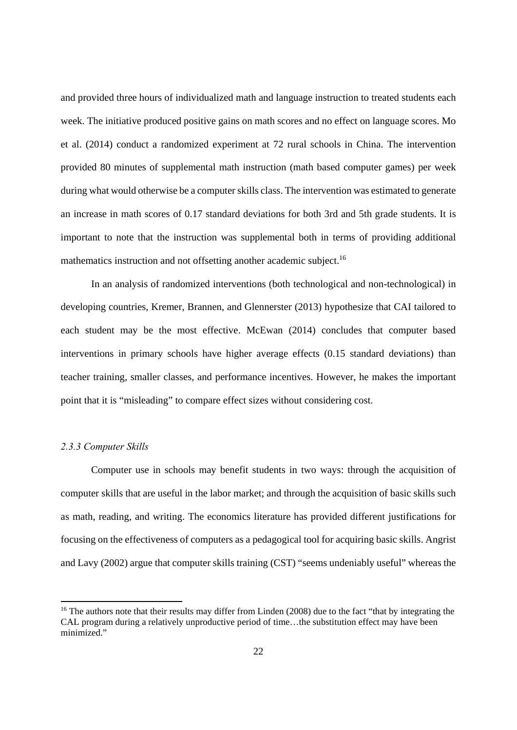and provided three hours of individualized math and language instruction to treated students each week. The initiative produced positive gains on math scores and no effect on language scores. Mo et al. (2014) conduct a randomized experiment at 72 rural schools in China. The intervention provided 80 minutes of supplemental math instruction (math based computer games) per week during what would otherwise be a computer skills class. The intervention was estimated to generate an increase in math scores of 0.17 standard deviations for both 3rd and 5th grade students. It is important to note that the instruction was supplemental both in terms of providing additional mathematics instruction and not offsetting another academic subject.<sup>16</sup>

In an analysis of randomized interventions (both technological and non-technological) in developing countries, Kremer, Brannen, and Glennerster (2013) hypothesize that CAI tailored to each student may be the most effective. McEwan (2014) concludes that computer based interventions in primary schools have higher average effects (0.15 standard deviations) than teacher training, smaller classes, and performance incentives. However, he makes the important point that it is "misleading" to compare effect sizes without considering cost.

#### *2.3.3 Computer Skills*

Computer use in schools may benefit students in two ways: through the acquisition of computer skills that are useful in the labor market; and through the acquisition of basic skills such as math, reading, and writing. The economics literature has provided different justifications for focusing on the effectiveness of computers as a pedagogical tool for acquiring basic skills. Angrist and Lavy (2002) argue that computer skills training (CST) "seems undeniably useful" whereas the

<sup>&</sup>lt;sup>16</sup> The authors note that their results may differ from Linden (2008) due to the fact "that by integrating the CAL program during a relatively unproductive period of time…the substitution effect may have been minimized."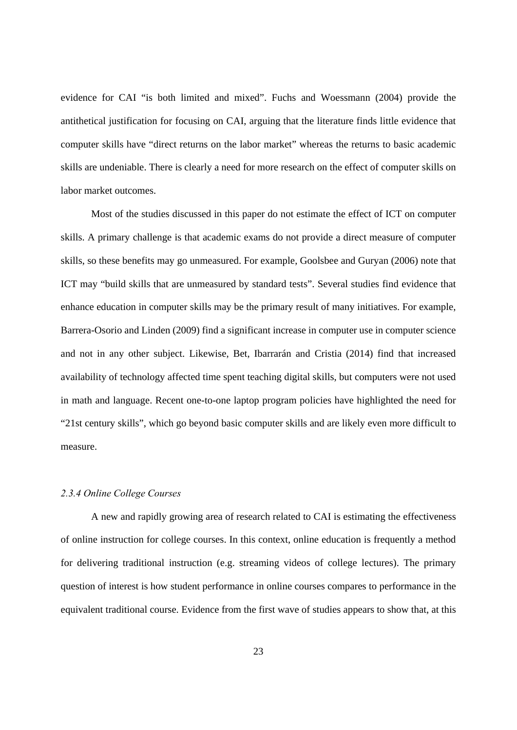evidence for CAI "is both limited and mixed". Fuchs and Woessmann (2004) provide the antithetical justification for focusing on CAI, arguing that the literature finds little evidence that computer skills have "direct returns on the labor market" whereas the returns to basic academic skills are undeniable. There is clearly a need for more research on the effect of computer skills on labor market outcomes.

Most of the studies discussed in this paper do not estimate the effect of ICT on computer skills. A primary challenge is that academic exams do not provide a direct measure of computer skills, so these benefits may go unmeasured. For example, Goolsbee and Guryan (2006) note that ICT may "build skills that are unmeasured by standard tests". Several studies find evidence that enhance education in computer skills may be the primary result of many initiatives. For example, Barrera-Osorio and Linden (2009) find a significant increase in computer use in computer science and not in any other subject. Likewise, Bet, Ibarrarán and Cristia (2014) find that increased availability of technology affected time spent teaching digital skills, but computers were not used in math and language. Recent one-to-one laptop program policies have highlighted the need for "21st century skills", which go beyond basic computer skills and are likely even more difficult to measure.

#### *2.3.4 Online College Courses*

A new and rapidly growing area of research related to CAI is estimating the effectiveness of online instruction for college courses. In this context, online education is frequently a method for delivering traditional instruction (e.g. streaming videos of college lectures). The primary question of interest is how student performance in online courses compares to performance in the equivalent traditional course. Evidence from the first wave of studies appears to show that, at this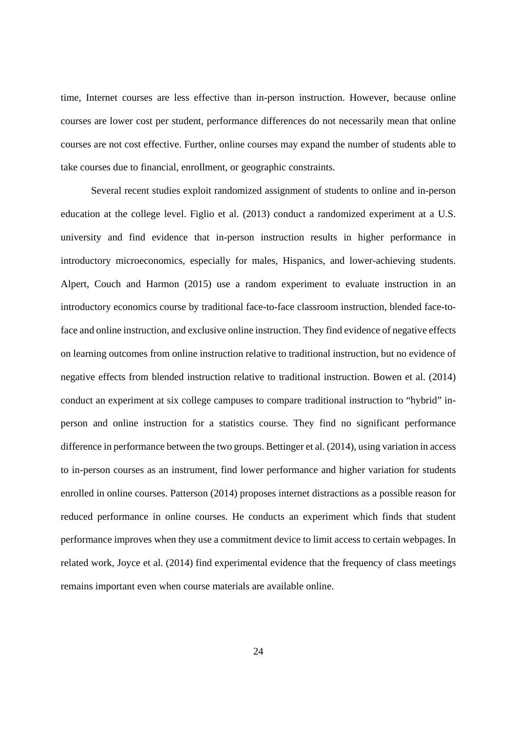time, Internet courses are less effective than in-person instruction. However, because online courses are lower cost per student, performance differences do not necessarily mean that online courses are not cost effective. Further, online courses may expand the number of students able to take courses due to financial, enrollment, or geographic constraints.

Several recent studies exploit randomized assignment of students to online and in-person education at the college level. Figlio et al. (2013) conduct a randomized experiment at a U.S. university and find evidence that in-person instruction results in higher performance in introductory microeconomics, especially for males, Hispanics, and lower-achieving students. Alpert, Couch and Harmon (2015) use a random experiment to evaluate instruction in an introductory economics course by traditional face-to-face classroom instruction, blended face-toface and online instruction, and exclusive online instruction. They find evidence of negative effects on learning outcomes from online instruction relative to traditional instruction, but no evidence of negative effects from blended instruction relative to traditional instruction. Bowen et al. (2014) conduct an experiment at six college campuses to compare traditional instruction to "hybrid" inperson and online instruction for a statistics course. They find no significant performance difference in performance between the two groups. Bettinger et al. (2014), using variation in access to in-person courses as an instrument, find lower performance and higher variation for students enrolled in online courses. Patterson (2014) proposes internet distractions as a possible reason for reduced performance in online courses. He conducts an experiment which finds that student performance improves when they use a commitment device to limit access to certain webpages. In related work, Joyce et al. (2014) find experimental evidence that the frequency of class meetings remains important even when course materials are available online.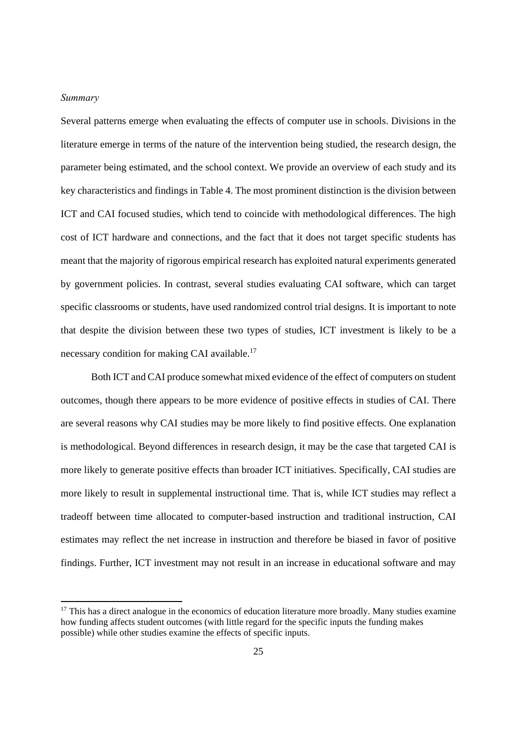#### *Summary*

Several patterns emerge when evaluating the effects of computer use in schools. Divisions in the literature emerge in terms of the nature of the intervention being studied, the research design, the parameter being estimated, and the school context. We provide an overview of each study and its key characteristics and findings in Table 4. The most prominent distinction is the division between ICT and CAI focused studies, which tend to coincide with methodological differences. The high cost of ICT hardware and connections, and the fact that it does not target specific students has meant that the majority of rigorous empirical research has exploited natural experiments generated by government policies. In contrast, several studies evaluating CAI software, which can target specific classrooms or students, have used randomized control trial designs. It is important to note that despite the division between these two types of studies, ICT investment is likely to be a necessary condition for making CAI available.<sup>17</sup>

Both ICT and CAI produce somewhat mixed evidence of the effect of computers on student outcomes, though there appears to be more evidence of positive effects in studies of CAI. There are several reasons why CAI studies may be more likely to find positive effects. One explanation is methodological. Beyond differences in research design, it may be the case that targeted CAI is more likely to generate positive effects than broader ICT initiatives. Specifically, CAI studies are more likely to result in supplemental instructional time. That is, while ICT studies may reflect a tradeoff between time allocated to computer-based instruction and traditional instruction, CAI estimates may reflect the net increase in instruction and therefore be biased in favor of positive findings. Further, ICT investment may not result in an increase in educational software and may

 $17$  This has a direct analogue in the economics of education literature more broadly. Many studies examine how funding affects student outcomes (with little regard for the specific inputs the funding makes possible) while other studies examine the effects of specific inputs.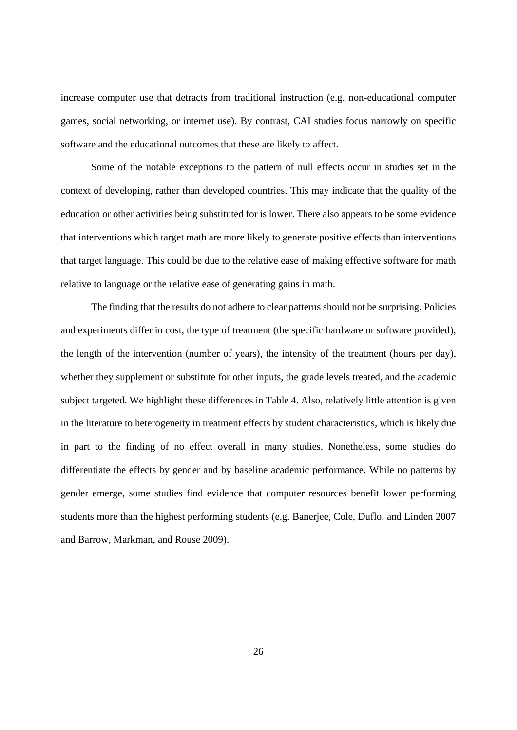increase computer use that detracts from traditional instruction (e.g. non-educational computer games, social networking, or internet use). By contrast, CAI studies focus narrowly on specific software and the educational outcomes that these are likely to affect.

Some of the notable exceptions to the pattern of null effects occur in studies set in the context of developing, rather than developed countries. This may indicate that the quality of the education or other activities being substituted for is lower. There also appears to be some evidence that interventions which target math are more likely to generate positive effects than interventions that target language. This could be due to the relative ease of making effective software for math relative to language or the relative ease of generating gains in math.

The finding that the results do not adhere to clear patterns should not be surprising. Policies and experiments differ in cost, the type of treatment (the specific hardware or software provided), the length of the intervention (number of years), the intensity of the treatment (hours per day), whether they supplement or substitute for other inputs, the grade levels treated, and the academic subject targeted. We highlight these differences in Table 4. Also, relatively little attention is given in the literature to heterogeneity in treatment effects by student characteristics, which is likely due in part to the finding of no effect overall in many studies. Nonetheless, some studies do differentiate the effects by gender and by baseline academic performance. While no patterns by gender emerge, some studies find evidence that computer resources benefit lower performing students more than the highest performing students (e.g. Banerjee, Cole, Duflo, and Linden 2007 and Barrow, Markman, and Rouse 2009).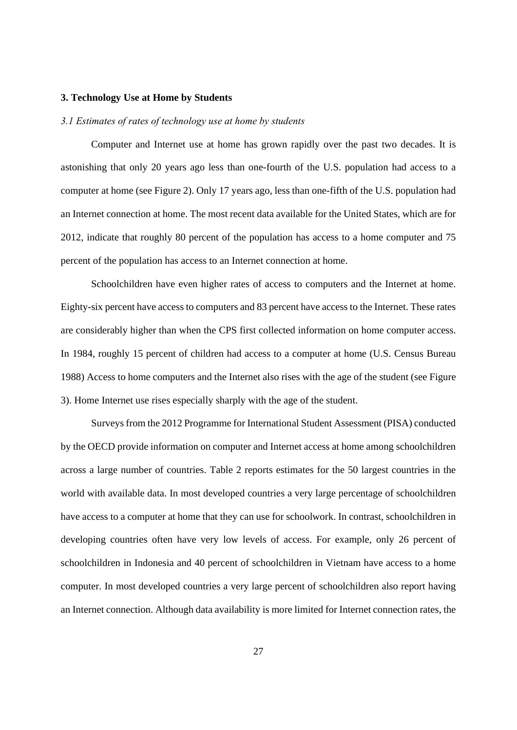#### **3. Technology Use at Home by Students**

#### *3.1 Estimates of rates of technology use at home by students*

Computer and Internet use at home has grown rapidly over the past two decades. It is astonishing that only 20 years ago less than one-fourth of the U.S. population had access to a computer at home (see Figure 2). Only 17 years ago, less than one-fifth of the U.S. population had an Internet connection at home. The most recent data available for the United States, which are for 2012, indicate that roughly 80 percent of the population has access to a home computer and 75 percent of the population has access to an Internet connection at home.

Schoolchildren have even higher rates of access to computers and the Internet at home. Eighty-six percent have access to computers and 83 percent have access to the Internet. These rates are considerably higher than when the CPS first collected information on home computer access. In 1984, roughly 15 percent of children had access to a computer at home (U.S. Census Bureau 1988) Access to home computers and the Internet also rises with the age of the student (see Figure 3). Home Internet use rises especially sharply with the age of the student.

Surveys from the 2012 Programme for International Student Assessment (PISA) conducted by the OECD provide information on computer and Internet access at home among schoolchildren across a large number of countries. Table 2 reports estimates for the 50 largest countries in the world with available data. In most developed countries a very large percentage of schoolchildren have access to a computer at home that they can use for schoolwork. In contrast, schoolchildren in developing countries often have very low levels of access. For example, only 26 percent of schoolchildren in Indonesia and 40 percent of schoolchildren in Vietnam have access to a home computer. In most developed countries a very large percent of schoolchildren also report having an Internet connection. Although data availability is more limited for Internet connection rates, the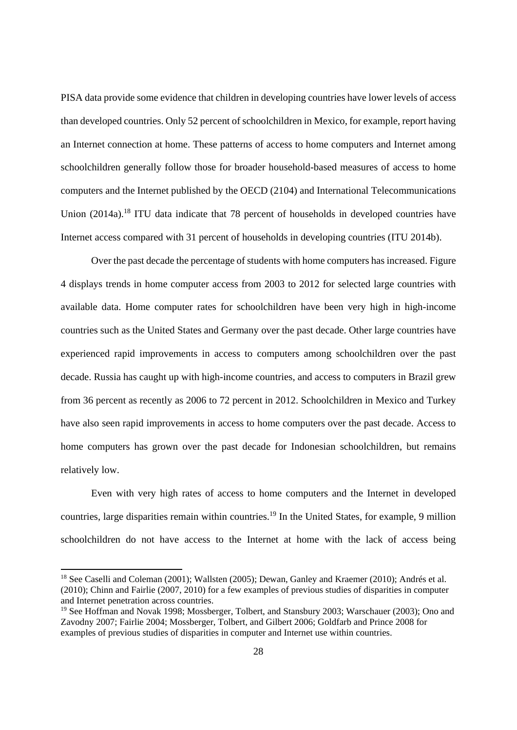PISA data provide some evidence that children in developing countries have lower levels of access than developed countries. Only 52 percent of schoolchildren in Mexico, for example, report having an Internet connection at home. These patterns of access to home computers and Internet among schoolchildren generally follow those for broader household-based measures of access to home computers and the Internet published by the OECD (2104) and International Telecommunications Union (2014a).<sup>18</sup> ITU data indicate that 78 percent of households in developed countries have Internet access compared with 31 percent of households in developing countries (ITU 2014b).

Over the past decade the percentage of students with home computers has increased. Figure 4 displays trends in home computer access from 2003 to 2012 for selected large countries with available data. Home computer rates for schoolchildren have been very high in high-income countries such as the United States and Germany over the past decade. Other large countries have experienced rapid improvements in access to computers among schoolchildren over the past decade. Russia has caught up with high-income countries, and access to computers in Brazil grew from 36 percent as recently as 2006 to 72 percent in 2012. Schoolchildren in Mexico and Turkey have also seen rapid improvements in access to home computers over the past decade. Access to home computers has grown over the past decade for Indonesian schoolchildren, but remains relatively low.

Even with very high rates of access to home computers and the Internet in developed countries, large disparities remain within countries.<sup>19</sup> In the United States, for example, 9 million schoolchildren do not have access to the Internet at home with the lack of access being

<sup>&</sup>lt;sup>18</sup> See Caselli and Coleman (2001); Wallsten (2005); Dewan, Ganley and Kraemer (2010); Andrés et al. (2010); Chinn and Fairlie (2007, 2010) for a few examples of previous studies of disparities in computer and Internet penetration across countries.

<sup>&</sup>lt;sup>19</sup> See Hoffman and Novak 1998; Mossberger, Tolbert, and Stansbury 2003; Warschauer (2003); Ono and Zavodny 2007; Fairlie 2004; Mossberger, Tolbert, and Gilbert 2006; Goldfarb and Prince 2008 for examples of previous studies of disparities in computer and Internet use within countries.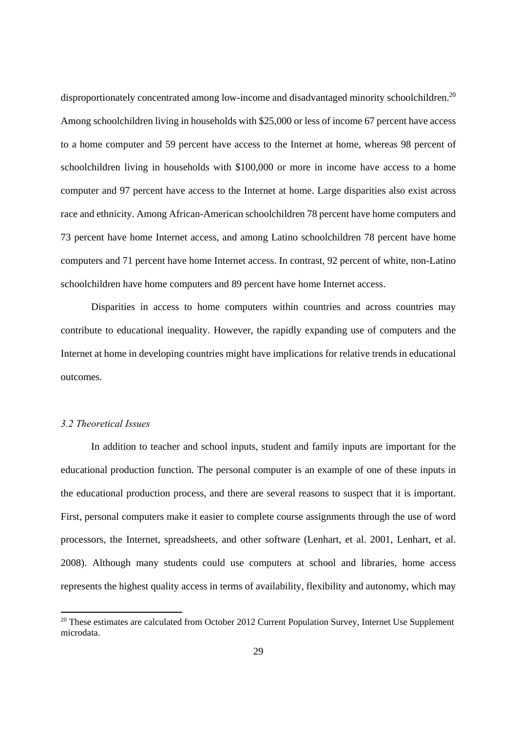disproportionately concentrated among low-income and disadvantaged minority schoolchildren.<sup>20</sup> Among schoolchildren living in households with \$25,000 or less of income 67 percent have access to a home computer and 59 percent have access to the Internet at home, whereas 98 percent of schoolchildren living in households with \$100,000 or more in income have access to a home computer and 97 percent have access to the Internet at home. Large disparities also exist across race and ethnicity. Among African-American schoolchildren 78 percent have home computers and 73 percent have home Internet access, and among Latino schoolchildren 78 percent have home computers and 71 percent have home Internet access. In contrast, 92 percent of white, non-Latino schoolchildren have home computers and 89 percent have home Internet access.

Disparities in access to home computers within countries and across countries may contribute to educational inequality. However, the rapidly expanding use of computers and the Internet at home in developing countries might have implications for relative trends in educational outcomes.

#### *3.2 Theoretical Issues*

In addition to teacher and school inputs, student and family inputs are important for the educational production function. The personal computer is an example of one of these inputs in the educational production process, and there are several reasons to suspect that it is important. First, personal computers make it easier to complete course assignments through the use of word processors, the Internet, spreadsheets, and other software (Lenhart, et al. 2001, Lenhart, et al. 2008). Although many students could use computers at school and libraries, home access represents the highest quality access in terms of availability, flexibility and autonomy, which may

<sup>&</sup>lt;sup>20</sup> These estimates are calculated from October 2012 Current Population Survey, Internet Use Supplement microdata.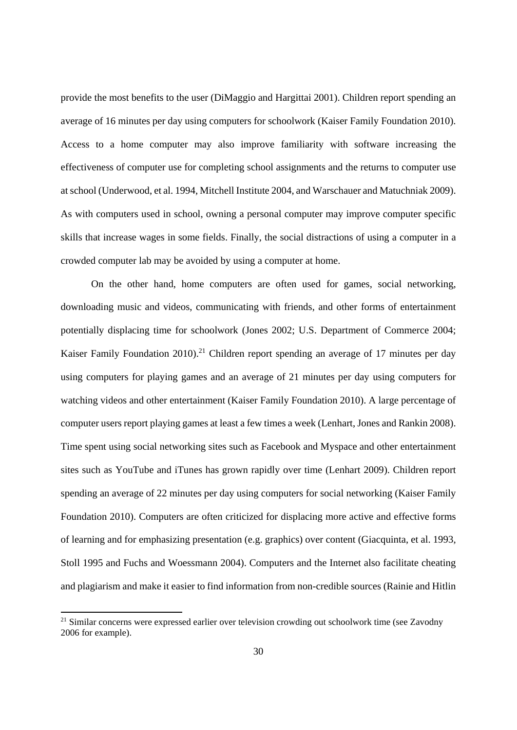provide the most benefits to the user (DiMaggio and Hargittai 2001). Children report spending an average of 16 minutes per day using computers for schoolwork (Kaiser Family Foundation 2010). Access to a home computer may also improve familiarity with software increasing the effectiveness of computer use for completing school assignments and the returns to computer use at school (Underwood, et al. 1994, Mitchell Institute 2004, and Warschauer and Matuchniak 2009). As with computers used in school, owning a personal computer may improve computer specific skills that increase wages in some fields. Finally, the social distractions of using a computer in a crowded computer lab may be avoided by using a computer at home.

 On the other hand, home computers are often used for games, social networking, downloading music and videos, communicating with friends, and other forms of entertainment potentially displacing time for schoolwork (Jones 2002; U.S. Department of Commerce 2004; Kaiser Family Foundation 2010).<sup>21</sup> Children report spending an average of 17 minutes per day using computers for playing games and an average of 21 minutes per day using computers for watching videos and other entertainment (Kaiser Family Foundation 2010). A large percentage of computer users report playing games at least a few times a week (Lenhart, Jones and Rankin 2008). Time spent using social networking sites such as Facebook and Myspace and other entertainment sites such as YouTube and iTunes has grown rapidly over time (Lenhart 2009). Children report spending an average of 22 minutes per day using computers for social networking (Kaiser Family Foundation 2010). Computers are often criticized for displacing more active and effective forms of learning and for emphasizing presentation (e.g. graphics) over content (Giacquinta, et al. 1993, Stoll 1995 and Fuchs and Woessmann 2004). Computers and the Internet also facilitate cheating and plagiarism and make it easier to find information from non-credible sources (Rainie and Hitlin

 $21$  Similar concerns were expressed earlier over television crowding out schoolwork time (see Zavodny 2006 for example).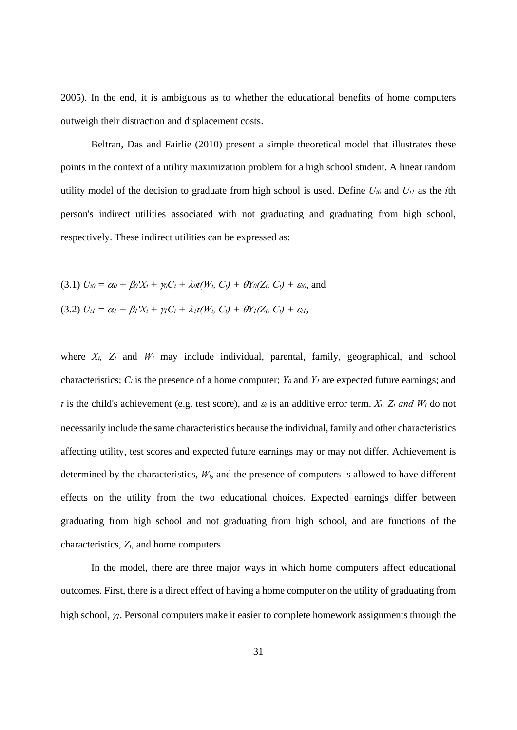2005). In the end, it is ambiguous as to whether the educational benefits of home computers outweigh their distraction and displacement costs.

 Beltran, Das and Fairlie (2010) present a simple theoretical model that illustrates these points in the context of a utility maximization problem for a high school student. A linear random utility model of the decision to graduate from high school is used. Define *Ui0* and *Ui1* as the *i*th person's indirect utilities associated with not graduating and graduating from high school, respectively. These indirect utilities can be expressed as:

(3.1) 
$$
U_{i0} = \alpha_0 + \beta_0' X_i + \gamma_0 C_i + \lambda_0 t(W_i, C_i) + \theta Y_0(Z_i, C_i) + \varepsilon_0
$$
, and  
(3.2)  $U_{i1} = \alpha_1 + \beta_1' X_i + \gamma_1 C_i + \lambda_1 t(W_i, C_i) + \theta Y_1(Z_i, C_i) + \varepsilon_{i1}$ ,

where  $X_i$ ,  $Z_i$  and  $W_i$  may include individual, parental, family, geographical, and school characteristics; *Ci* is the presence of a home computer; *Y0* and *Y1* are expected future earnings; and *t* is the child's achievement (e.g. test score), and  $\varepsilon_i$  is an additive error term.  $X_i$ ,  $Z_i$  and  $W_i$  do not necessarily include the same characteristics because the individual, family and other characteristics affecting utility, test scores and expected future earnings may or may not differ. Achievement is determined by the characteristics, *Wi*, and the presence of computers is allowed to have different effects on the utility from the two educational choices. Expected earnings differ between graduating from high school and not graduating from high school, and are functions of the characteristics, *Zi*, and home computers.

In the model, there are three major ways in which home computers affect educational outcomes. First, there is a direct effect of having a home computer on the utility of graduating from high school,  $\gamma$ . Personal computers make it easier to complete homework assignments through the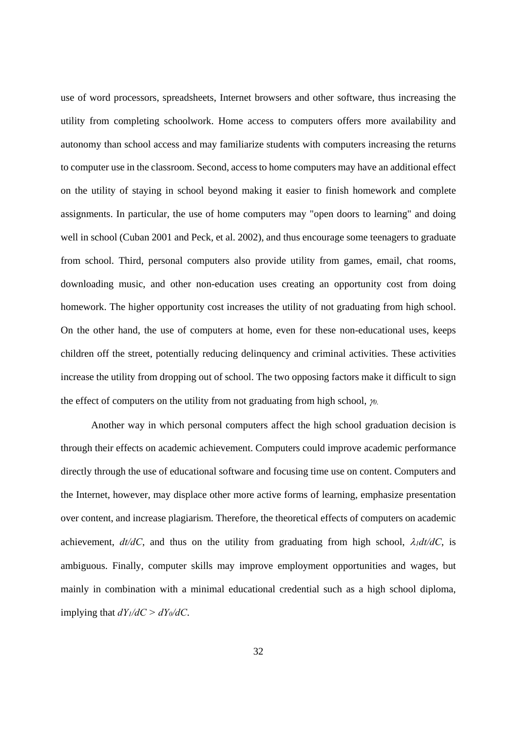use of word processors, spreadsheets, Internet browsers and other software, thus increasing the utility from completing schoolwork. Home access to computers offers more availability and autonomy than school access and may familiarize students with computers increasing the returns to computer use in the classroom. Second, access to home computers may have an additional effect on the utility of staying in school beyond making it easier to finish homework and complete assignments. In particular, the use of home computers may "open doors to learning" and doing well in school (Cuban 2001 and Peck, et al. 2002), and thus encourage some teenagers to graduate from school. Third, personal computers also provide utility from games, email, chat rooms, downloading music, and other non-education uses creating an opportunity cost from doing homework. The higher opportunity cost increases the utility of not graduating from high school. On the other hand, the use of computers at home, even for these non-educational uses, keeps children off the street, potentially reducing delinquency and criminal activities. These activities increase the utility from dropping out of school. The two opposing factors make it difficult to sign the effect of computers on the utility from not graduating from high school, *0*.

Another way in which personal computers affect the high school graduation decision is through their effects on academic achievement. Computers could improve academic performance directly through the use of educational software and focusing time use on content. Computers and the Internet, however, may displace other more active forms of learning, emphasize presentation over content, and increase plagiarism. Therefore, the theoretical effects of computers on academic achievement,  $dt/dC$ , and thus on the utility from graduating from high school,  $\lambda_t dt/dC$ , is ambiguous. Finally, computer skills may improve employment opportunities and wages, but mainly in combination with a minimal educational credential such as a high school diploma, implying that  $dY_1/dC > dY_0/dC$ .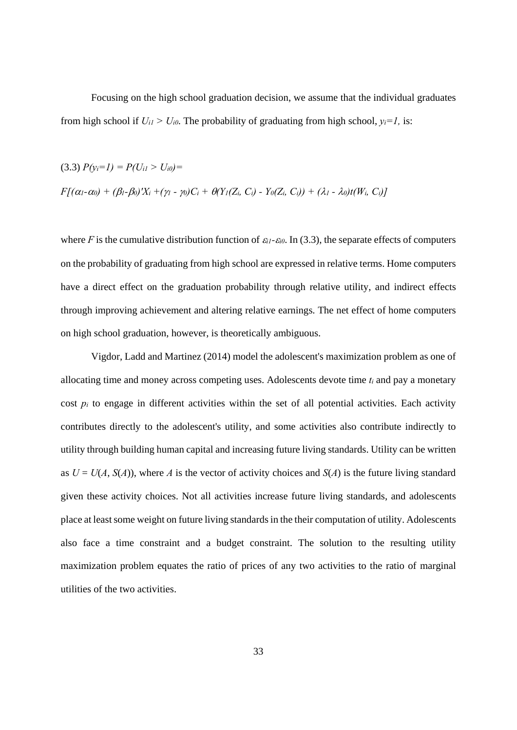Focusing on the high school graduation decision, we assume that the individual graduates from high school if  $U_{il} > U_{i0}$ . The probability of graduating from high school,  $y_i = I$ , is:

(3.3) 
$$
P(y_i=1) = P(U_{i1} > U_{i0}) =
$$
  
\n $F[(\alpha_1 - \alpha_0) + (\beta_1 - \beta_0)'X_i + (\gamma_1 - \gamma_0)C_i + \theta(Y_I(Z_i, C_i) - Y_0(Z_i, C_i)) + (\lambda_1 - \lambda_0)t(W_i, C_i)]$ 

where *F* is the cumulative distribution function of  $\varepsilon_{i1}$ - $\varepsilon_{i0}$ . In (3.3), the separate effects of computers on the probability of graduating from high school are expressed in relative terms. Home computers have a direct effect on the graduation probability through relative utility, and indirect effects through improving achievement and altering relative earnings. The net effect of home computers on high school graduation, however, is theoretically ambiguous.

Vigdor, Ladd and Martinez (2014) model the adolescent's maximization problem as one of allocating time and money across competing uses. Adolescents devote time *ti* and pay a monetary cost  $p_i$  to engage in different activities within the set of all potential activities. Each activity contributes directly to the adolescent's utility, and some activities also contribute indirectly to utility through building human capital and increasing future living standards. Utility can be written as  $U = U(A, S(A))$ , where *A* is the vector of activity choices and  $S(A)$  is the future living standard given these activity choices. Not all activities increase future living standards, and adolescents place at least some weight on future living standards in the their computation of utility. Adolescents also face a time constraint and a budget constraint. The solution to the resulting utility maximization problem equates the ratio of prices of any two activities to the ratio of marginal utilities of the two activities.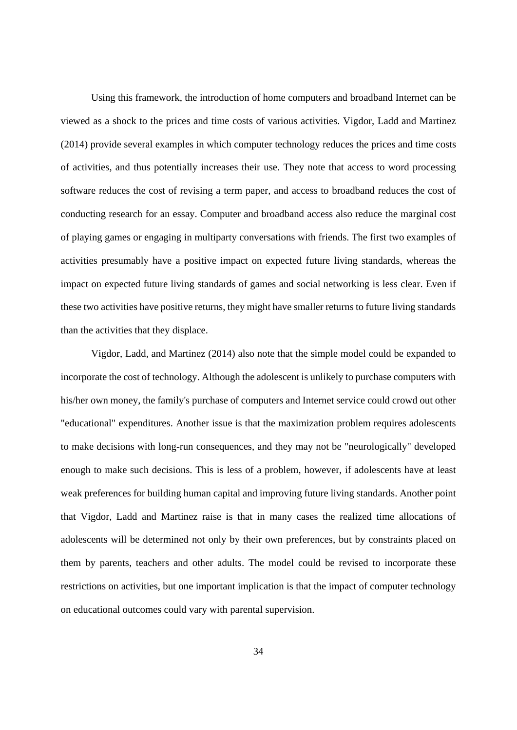Using this framework, the introduction of home computers and broadband Internet can be viewed as a shock to the prices and time costs of various activities. Vigdor, Ladd and Martinez (2014) provide several examples in which computer technology reduces the prices and time costs of activities, and thus potentially increases their use. They note that access to word processing software reduces the cost of revising a term paper, and access to broadband reduces the cost of conducting research for an essay. Computer and broadband access also reduce the marginal cost of playing games or engaging in multiparty conversations with friends. The first two examples of activities presumably have a positive impact on expected future living standards, whereas the impact on expected future living standards of games and social networking is less clear. Even if these two activities have positive returns, they might have smaller returns to future living standards than the activities that they displace.

Vigdor, Ladd, and Martinez (2014) also note that the simple model could be expanded to incorporate the cost of technology. Although the adolescent is unlikely to purchase computers with his/her own money, the family's purchase of computers and Internet service could crowd out other "educational" expenditures. Another issue is that the maximization problem requires adolescents to make decisions with long-run consequences, and they may not be "neurologically" developed enough to make such decisions. This is less of a problem, however, if adolescents have at least weak preferences for building human capital and improving future living standards. Another point that Vigdor, Ladd and Martinez raise is that in many cases the realized time allocations of adolescents will be determined not only by their own preferences, but by constraints placed on them by parents, teachers and other adults. The model could be revised to incorporate these restrictions on activities, but one important implication is that the impact of computer technology on educational outcomes could vary with parental supervision.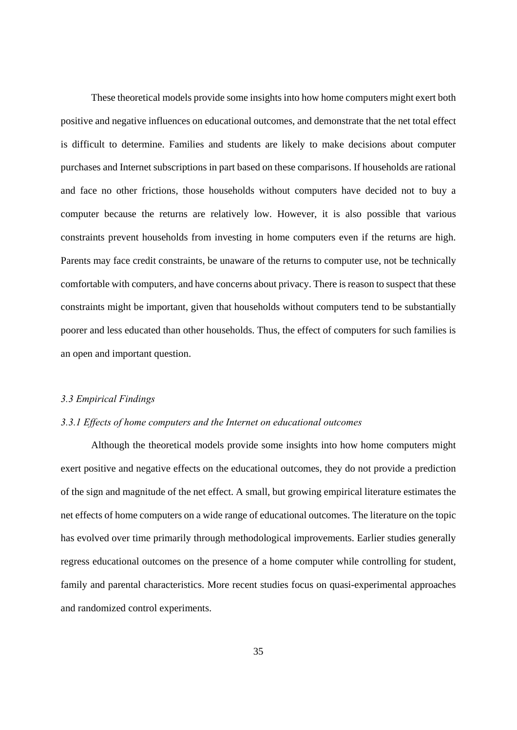These theoretical models provide some insights into how home computers might exert both positive and negative influences on educational outcomes, and demonstrate that the net total effect is difficult to determine. Families and students are likely to make decisions about computer purchases and Internet subscriptions in part based on these comparisons. If households are rational and face no other frictions, those households without computers have decided not to buy a computer because the returns are relatively low. However, it is also possible that various constraints prevent households from investing in home computers even if the returns are high. Parents may face credit constraints, be unaware of the returns to computer use, not be technically comfortable with computers, and have concerns about privacy. There is reason to suspect that these constraints might be important, given that households without computers tend to be substantially poorer and less educated than other households. Thus, the effect of computers for such families is an open and important question.

#### *3.3 Empirical Findings*

#### *3.3.1 Effects of home computers and the Internet on educational outcomes*

Although the theoretical models provide some insights into how home computers might exert positive and negative effects on the educational outcomes, they do not provide a prediction of the sign and magnitude of the net effect. A small, but growing empirical literature estimates the net effects of home computers on a wide range of educational outcomes. The literature on the topic has evolved over time primarily through methodological improvements. Earlier studies generally regress educational outcomes on the presence of a home computer while controlling for student, family and parental characteristics. More recent studies focus on quasi-experimental approaches and randomized control experiments.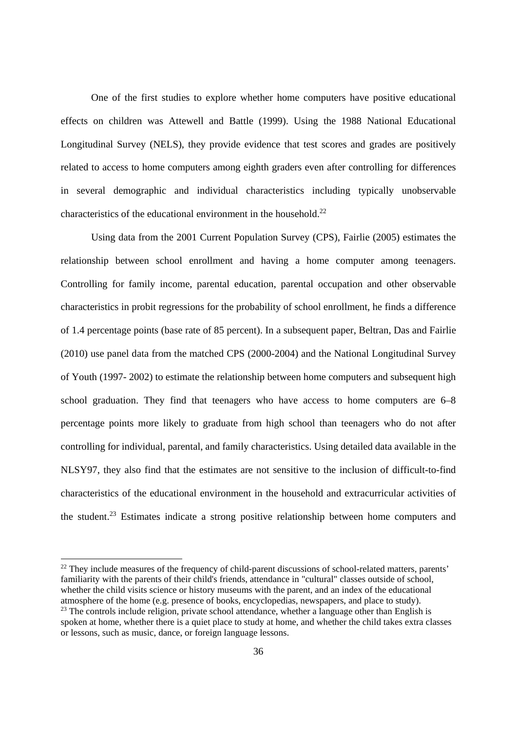One of the first studies to explore whether home computers have positive educational effects on children was Attewell and Battle (1999). Using the 1988 National Educational Longitudinal Survey (NELS), they provide evidence that test scores and grades are positively related to access to home computers among eighth graders even after controlling for differences in several demographic and individual characteristics including typically unobservable characteristics of the educational environment in the household.<sup>22</sup>

Using data from the 2001 Current Population Survey (CPS), Fairlie (2005) estimates the relationship between school enrollment and having a home computer among teenagers. Controlling for family income, parental education, parental occupation and other observable characteristics in probit regressions for the probability of school enrollment, he finds a difference of 1.4 percentage points (base rate of 85 percent). In a subsequent paper, Beltran, Das and Fairlie (2010) use panel data from the matched CPS (2000-2004) and the National Longitudinal Survey of Youth (1997- 2002) to estimate the relationship between home computers and subsequent high school graduation. They find that teenagers who have access to home computers are 6–8 percentage points more likely to graduate from high school than teenagers who do not after controlling for individual, parental, and family characteristics. Using detailed data available in the NLSY97, they also find that the estimates are not sensitive to the inclusion of difficult-to-find characteristics of the educational environment in the household and extracurricular activities of the student.23 Estimates indicate a strong positive relationship between home computers and

<sup>&</sup>lt;sup>22</sup> They include measures of the frequency of child-parent discussions of school-related matters, parents' familiarity with the parents of their child's friends, attendance in "cultural" classes outside of school, whether the child visits science or history museums with the parent, and an index of the educational atmosphere of the home (e.g. presence of books, encyclopedias, newspapers, and place to study). <sup>23</sup> The controls include religion, private school attendance, whether a language other than English is spoken at home, whether there is a quiet place to study at home, and whether the child takes extra classes or lessons, such as music, dance, or foreign language lessons.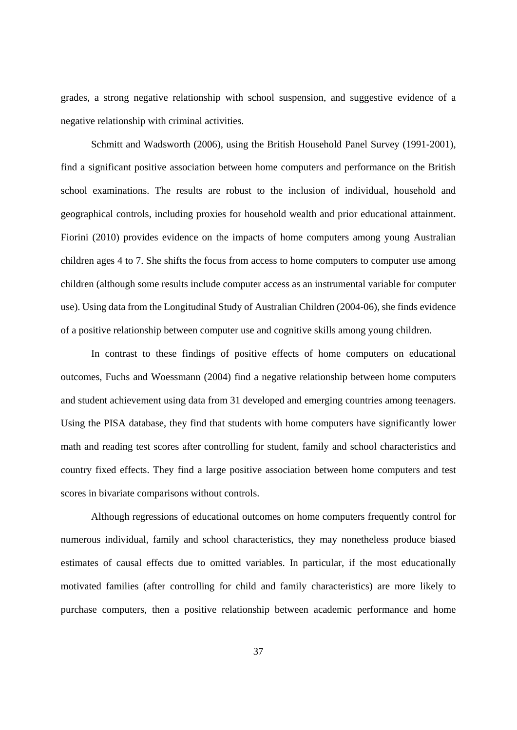grades, a strong negative relationship with school suspension, and suggestive evidence of a negative relationship with criminal activities.

 Schmitt and Wadsworth (2006), using the British Household Panel Survey (1991-2001), find a significant positive association between home computers and performance on the British school examinations. The results are robust to the inclusion of individual, household and geographical controls, including proxies for household wealth and prior educational attainment. Fiorini (2010) provides evidence on the impacts of home computers among young Australian children ages 4 to 7. She shifts the focus from access to home computers to computer use among children (although some results include computer access as an instrumental variable for computer use). Using data from the Longitudinal Study of Australian Children (2004-06), she finds evidence of a positive relationship between computer use and cognitive skills among young children.

In contrast to these findings of positive effects of home computers on educational outcomes, Fuchs and Woessmann (2004) find a negative relationship between home computers and student achievement using data from 31 developed and emerging countries among teenagers. Using the PISA database, they find that students with home computers have significantly lower math and reading test scores after controlling for student, family and school characteristics and country fixed effects. They find a large positive association between home computers and test scores in bivariate comparisons without controls.

Although regressions of educational outcomes on home computers frequently control for numerous individual, family and school characteristics, they may nonetheless produce biased estimates of causal effects due to omitted variables. In particular, if the most educationally motivated families (after controlling for child and family characteristics) are more likely to purchase computers, then a positive relationship between academic performance and home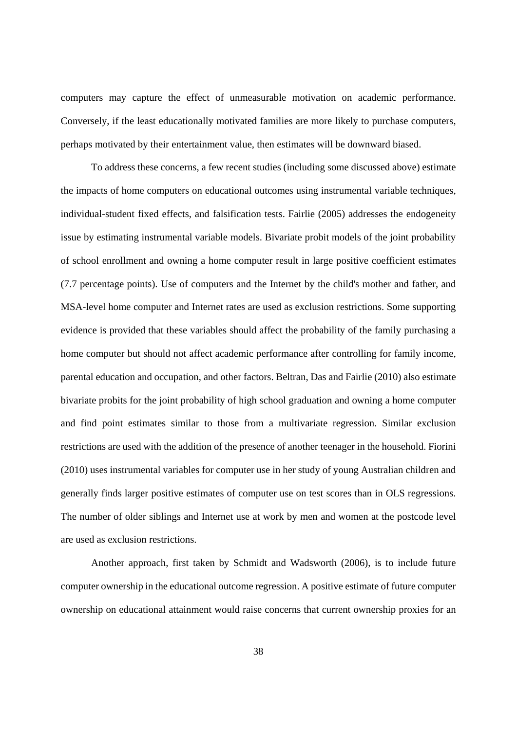computers may capture the effect of unmeasurable motivation on academic performance. Conversely, if the least educationally motivated families are more likely to purchase computers, perhaps motivated by their entertainment value, then estimates will be downward biased.

To address these concerns, a few recent studies (including some discussed above) estimate the impacts of home computers on educational outcomes using instrumental variable techniques, individual-student fixed effects, and falsification tests. Fairlie (2005) addresses the endogeneity issue by estimating instrumental variable models. Bivariate probit models of the joint probability of school enrollment and owning a home computer result in large positive coefficient estimates (7.7 percentage points). Use of computers and the Internet by the child's mother and father, and MSA-level home computer and Internet rates are used as exclusion restrictions. Some supporting evidence is provided that these variables should affect the probability of the family purchasing a home computer but should not affect academic performance after controlling for family income, parental education and occupation, and other factors. Beltran, Das and Fairlie (2010) also estimate bivariate probits for the joint probability of high school graduation and owning a home computer and find point estimates similar to those from a multivariate regression. Similar exclusion restrictions are used with the addition of the presence of another teenager in the household. Fiorini (2010) uses instrumental variables for computer use in her study of young Australian children and generally finds larger positive estimates of computer use on test scores than in OLS regressions. The number of older siblings and Internet use at work by men and women at the postcode level are used as exclusion restrictions.

Another approach, first taken by Schmidt and Wadsworth (2006), is to include future computer ownership in the educational outcome regression. A positive estimate of future computer ownership on educational attainment would raise concerns that current ownership proxies for an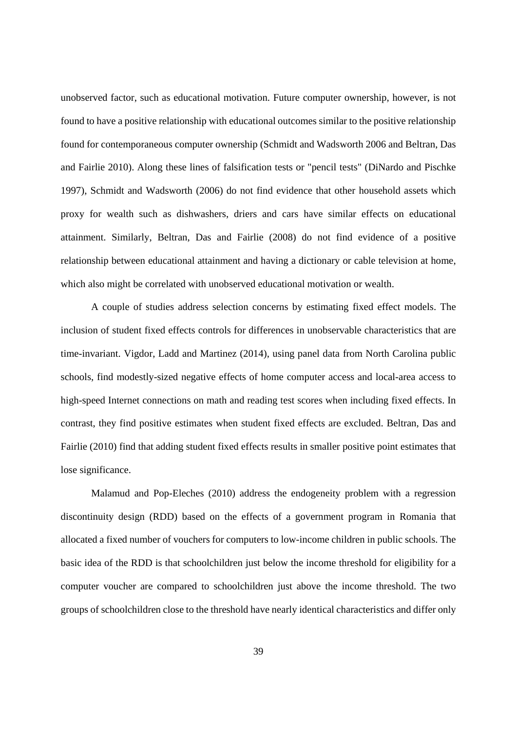unobserved factor, such as educational motivation. Future computer ownership, however, is not found to have a positive relationship with educational outcomes similar to the positive relationship found for contemporaneous computer ownership (Schmidt and Wadsworth 2006 and Beltran, Das and Fairlie 2010). Along these lines of falsification tests or "pencil tests" (DiNardo and Pischke 1997), Schmidt and Wadsworth (2006) do not find evidence that other household assets which proxy for wealth such as dishwashers, driers and cars have similar effects on educational attainment. Similarly, Beltran, Das and Fairlie (2008) do not find evidence of a positive relationship between educational attainment and having a dictionary or cable television at home, which also might be correlated with unobserved educational motivation or wealth.

A couple of studies address selection concerns by estimating fixed effect models. The inclusion of student fixed effects controls for differences in unobservable characteristics that are time-invariant. Vigdor, Ladd and Martinez (2014), using panel data from North Carolina public schools, find modestly-sized negative effects of home computer access and local-area access to high-speed Internet connections on math and reading test scores when including fixed effects. In contrast, they find positive estimates when student fixed effects are excluded. Beltran, Das and Fairlie (2010) find that adding student fixed effects results in smaller positive point estimates that lose significance.

Malamud and Pop-Eleches (2010) address the endogeneity problem with a regression discontinuity design (RDD) based on the effects of a government program in Romania that allocated a fixed number of vouchers for computers to low-income children in public schools. The basic idea of the RDD is that schoolchildren just below the income threshold for eligibility for a computer voucher are compared to schoolchildren just above the income threshold. The two groups of schoolchildren close to the threshold have nearly identical characteristics and differ only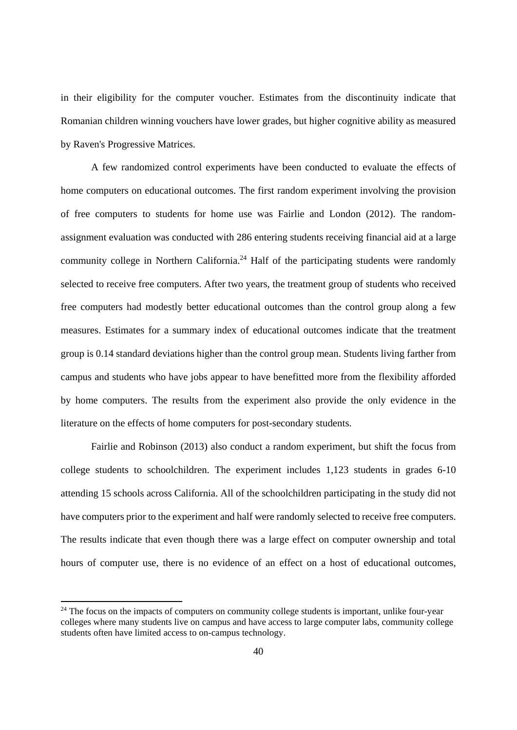in their eligibility for the computer voucher. Estimates from the discontinuity indicate that Romanian children winning vouchers have lower grades, but higher cognitive ability as measured by Raven's Progressive Matrices.

A few randomized control experiments have been conducted to evaluate the effects of home computers on educational outcomes. The first random experiment involving the provision of free computers to students for home use was Fairlie and London (2012). The randomassignment evaluation was conducted with 286 entering students receiving financial aid at a large community college in Northern California.<sup>24</sup> Half of the participating students were randomly selected to receive free computers. After two years, the treatment group of students who received free computers had modestly better educational outcomes than the control group along a few measures. Estimates for a summary index of educational outcomes indicate that the treatment group is 0.14 standard deviations higher than the control group mean. Students living farther from campus and students who have jobs appear to have benefitted more from the flexibility afforded by home computers. The results from the experiment also provide the only evidence in the literature on the effects of home computers for post-secondary students.

 Fairlie and Robinson (2013) also conduct a random experiment, but shift the focus from college students to schoolchildren. The experiment includes 1,123 students in grades 6-10 attending 15 schools across California. All of the schoolchildren participating in the study did not have computers prior to the experiment and half were randomly selected to receive free computers. The results indicate that even though there was a large effect on computer ownership and total hours of computer use, there is no evidence of an effect on a host of educational outcomes,

 $24$  The focus on the impacts of computers on community college students is important, unlike four-year colleges where many students live on campus and have access to large computer labs, community college students often have limited access to on-campus technology.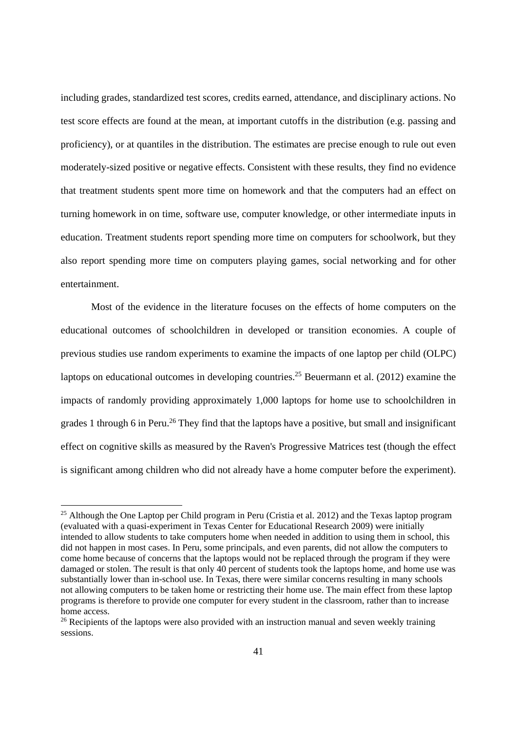including grades, standardized test scores, credits earned, attendance, and disciplinary actions. No test score effects are found at the mean, at important cutoffs in the distribution (e.g. passing and proficiency), or at quantiles in the distribution. The estimates are precise enough to rule out even moderately-sized positive or negative effects. Consistent with these results, they find no evidence that treatment students spent more time on homework and that the computers had an effect on turning homework in on time, software use, computer knowledge, or other intermediate inputs in education. Treatment students report spending more time on computers for schoolwork, but they also report spending more time on computers playing games, social networking and for other entertainment.

Most of the evidence in the literature focuses on the effects of home computers on the educational outcomes of schoolchildren in developed or transition economies. A couple of previous studies use random experiments to examine the impacts of one laptop per child (OLPC) laptops on educational outcomes in developing countries.<sup>25</sup> Beuermann et al. (2012) examine the impacts of randomly providing approximately 1,000 laptops for home use to schoolchildren in grades 1 through 6 in Peru.<sup>26</sup> They find that the laptops have a positive, but small and insignificant effect on cognitive skills as measured by the Raven's Progressive Matrices test (though the effect is significant among children who did not already have a home computer before the experiment).

<sup>&</sup>lt;sup>25</sup> Although the One Laptop per Child program in Peru (Cristia et al. 2012) and the Texas laptop program (evaluated with a quasi-experiment in Texas Center for Educational Research 2009) were initially intended to allow students to take computers home when needed in addition to using them in school, this did not happen in most cases. In Peru, some principals, and even parents, did not allow the computers to come home because of concerns that the laptops would not be replaced through the program if they were damaged or stolen. The result is that only 40 percent of students took the laptops home, and home use was substantially lower than in-school use. In Texas, there were similar concerns resulting in many schools not allowing computers to be taken home or restricting their home use. The main effect from these laptop programs is therefore to provide one computer for every student in the classroom, rather than to increase home access.

<sup>&</sup>lt;sup>26</sup> Recipients of the laptops were also provided with an instruction manual and seven weekly training sessions.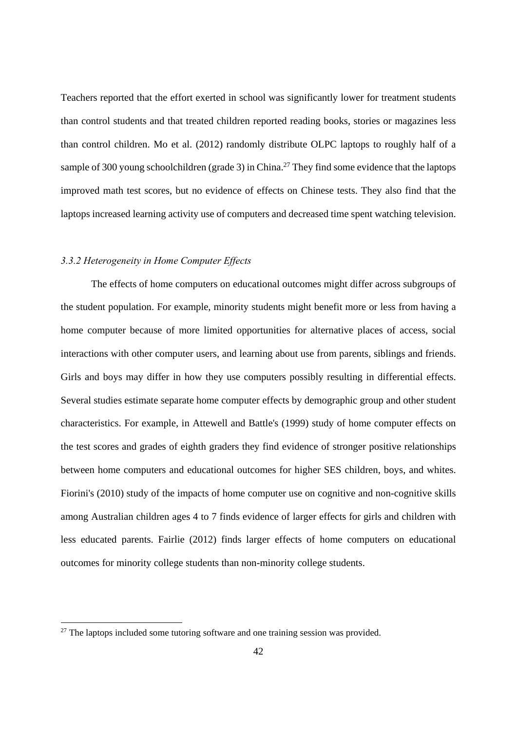Teachers reported that the effort exerted in school was significantly lower for treatment students than control students and that treated children reported reading books, stories or magazines less than control children. Mo et al. (2012) randomly distribute OLPC laptops to roughly half of a sample of 300 young schoolchildren (grade 3) in China.<sup>27</sup> They find some evidence that the laptops improved math test scores, but no evidence of effects on Chinese tests. They also find that the laptops increased learning activity use of computers and decreased time spent watching television.

#### *3.3.2 Heterogeneity in Home Computer Effects*

The effects of home computers on educational outcomes might differ across subgroups of the student population. For example, minority students might benefit more or less from having a home computer because of more limited opportunities for alternative places of access, social interactions with other computer users, and learning about use from parents, siblings and friends. Girls and boys may differ in how they use computers possibly resulting in differential effects. Several studies estimate separate home computer effects by demographic group and other student characteristics. For example, in Attewell and Battle's (1999) study of home computer effects on the test scores and grades of eighth graders they find evidence of stronger positive relationships between home computers and educational outcomes for higher SES children, boys, and whites. Fiorini's (2010) study of the impacts of home computer use on cognitive and non-cognitive skills among Australian children ages 4 to 7 finds evidence of larger effects for girls and children with less educated parents. Fairlie (2012) finds larger effects of home computers on educational outcomes for minority college students than non-minority college students.

 $27$  The laptops included some tutoring software and one training session was provided.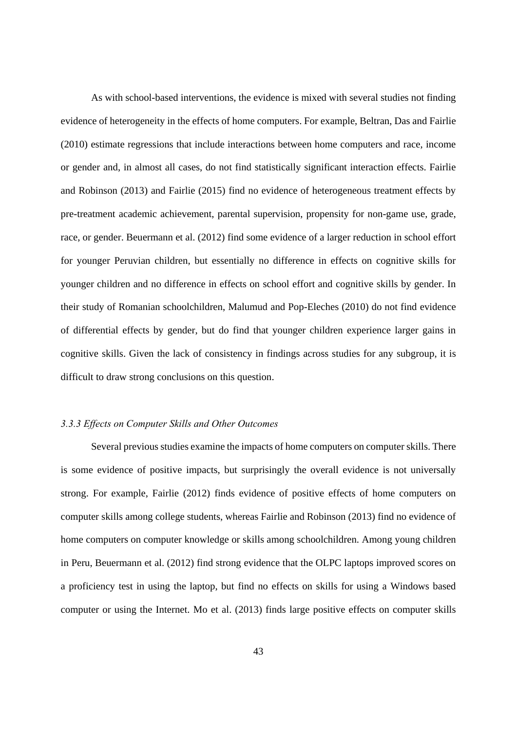As with school-based interventions, the evidence is mixed with several studies not finding evidence of heterogeneity in the effects of home computers. For example, Beltran, Das and Fairlie (2010) estimate regressions that include interactions between home computers and race, income or gender and, in almost all cases, do not find statistically significant interaction effects. Fairlie and Robinson (2013) and Fairlie (2015) find no evidence of heterogeneous treatment effects by pre-treatment academic achievement, parental supervision, propensity for non-game use, grade, race, or gender. Beuermann et al. (2012) find some evidence of a larger reduction in school effort for younger Peruvian children, but essentially no difference in effects on cognitive skills for younger children and no difference in effects on school effort and cognitive skills by gender. In their study of Romanian schoolchildren, Malumud and Pop-Eleches (2010) do not find evidence of differential effects by gender, but do find that younger children experience larger gains in cognitive skills. Given the lack of consistency in findings across studies for any subgroup, it is difficult to draw strong conclusions on this question.

#### *3.3.3 Effects on Computer Skills and Other Outcomes*

Several previous studies examine the impacts of home computers on computer skills. There is some evidence of positive impacts, but surprisingly the overall evidence is not universally strong. For example, Fairlie (2012) finds evidence of positive effects of home computers on computer skills among college students, whereas Fairlie and Robinson (2013) find no evidence of home computers on computer knowledge or skills among schoolchildren. Among young children in Peru, Beuermann et al. (2012) find strong evidence that the OLPC laptops improved scores on a proficiency test in using the laptop, but find no effects on skills for using a Windows based computer or using the Internet. Mo et al. (2013) finds large positive effects on computer skills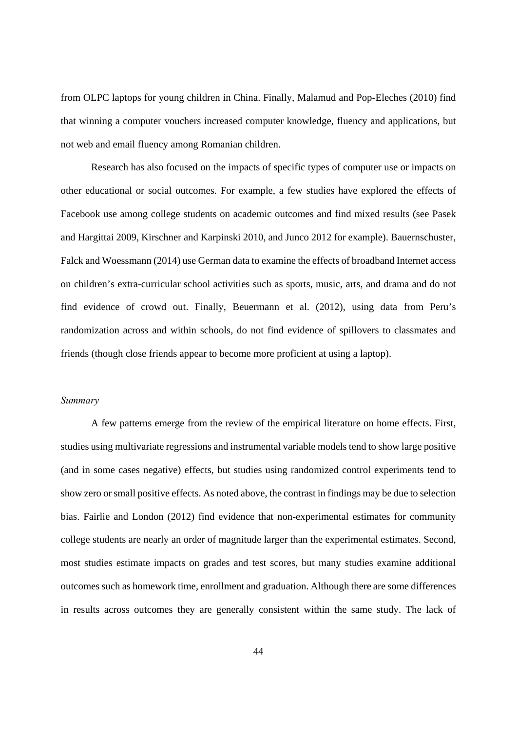from OLPC laptops for young children in China. Finally, Malamud and Pop-Eleches (2010) find that winning a computer vouchers increased computer knowledge, fluency and applications, but not web and email fluency among Romanian children.

Research has also focused on the impacts of specific types of computer use or impacts on other educational or social outcomes. For example, a few studies have explored the effects of Facebook use among college students on academic outcomes and find mixed results (see Pasek and Hargittai 2009, Kirschner and Karpinski 2010, and Junco 2012 for example). Bauernschuster, Falck and Woessmann (2014) use German data to examine the effects of broadband Internet access on children's extra-curricular school activities such as sports, music, arts, and drama and do not find evidence of crowd out. Finally, Beuermann et al. (2012), using data from Peru's randomization across and within schools, do not find evidence of spillovers to classmates and friends (though close friends appear to become more proficient at using a laptop).

#### *Summary*

 A few patterns emerge from the review of the empirical literature on home effects. First, studies using multivariate regressions and instrumental variable models tend to show large positive (and in some cases negative) effects, but studies using randomized control experiments tend to show zero or small positive effects. As noted above, the contrast in findings may be due to selection bias. Fairlie and London (2012) find evidence that non-experimental estimates for community college students are nearly an order of magnitude larger than the experimental estimates. Second, most studies estimate impacts on grades and test scores, but many studies examine additional outcomes such as homework time, enrollment and graduation. Although there are some differences in results across outcomes they are generally consistent within the same study. The lack of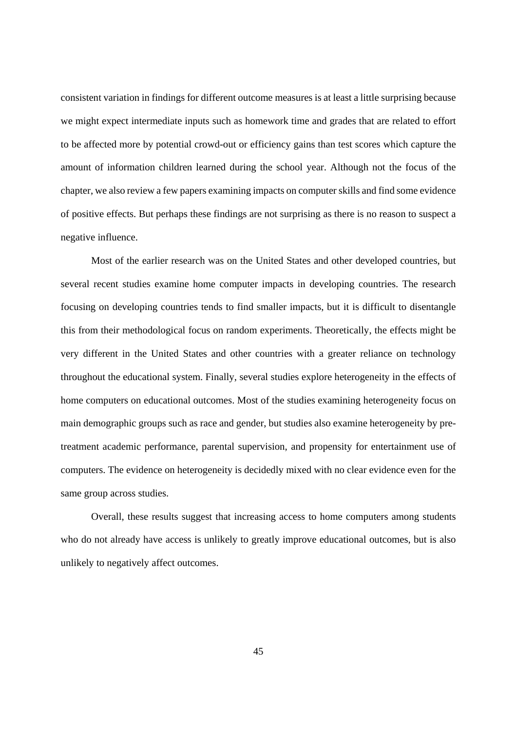consistent variation in findings for different outcome measures is at least a little surprising because we might expect intermediate inputs such as homework time and grades that are related to effort to be affected more by potential crowd-out or efficiency gains than test scores which capture the amount of information children learned during the school year. Although not the focus of the chapter, we also review a few papers examining impacts on computer skills and find some evidence of positive effects. But perhaps these findings are not surprising as there is no reason to suspect a negative influence.

 Most of the earlier research was on the United States and other developed countries, but several recent studies examine home computer impacts in developing countries. The research focusing on developing countries tends to find smaller impacts, but it is difficult to disentangle this from their methodological focus on random experiments. Theoretically, the effects might be very different in the United States and other countries with a greater reliance on technology throughout the educational system. Finally, several studies explore heterogeneity in the effects of home computers on educational outcomes. Most of the studies examining heterogeneity focus on main demographic groups such as race and gender, but studies also examine heterogeneity by pretreatment academic performance, parental supervision, and propensity for entertainment use of computers. The evidence on heterogeneity is decidedly mixed with no clear evidence even for the same group across studies.

 Overall, these results suggest that increasing access to home computers among students who do not already have access is unlikely to greatly improve educational outcomes, but is also unlikely to negatively affect outcomes.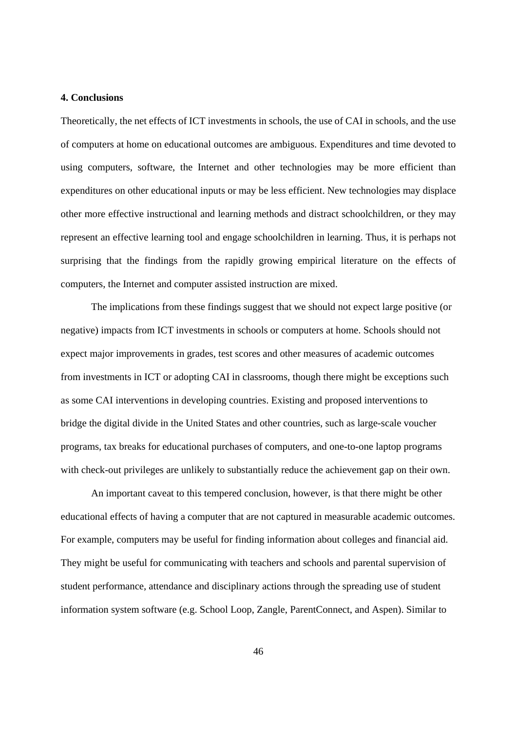#### **4. Conclusions**

Theoretically, the net effects of ICT investments in schools, the use of CAI in schools, and the use of computers at home on educational outcomes are ambiguous. Expenditures and time devoted to using computers, software, the Internet and other technologies may be more efficient than expenditures on other educational inputs or may be less efficient. New technologies may displace other more effective instructional and learning methods and distract schoolchildren, or they may represent an effective learning tool and engage schoolchildren in learning. Thus, it is perhaps not surprising that the findings from the rapidly growing empirical literature on the effects of computers, the Internet and computer assisted instruction are mixed.

The implications from these findings suggest that we should not expect large positive (or negative) impacts from ICT investments in schools or computers at home. Schools should not expect major improvements in grades, test scores and other measures of academic outcomes from investments in ICT or adopting CAI in classrooms, though there might be exceptions such as some CAI interventions in developing countries. Existing and proposed interventions to bridge the digital divide in the United States and other countries, such as large-scale voucher programs, tax breaks for educational purchases of computers, and one-to-one laptop programs with check-out privileges are unlikely to substantially reduce the achievement gap on their own.

An important caveat to this tempered conclusion, however, is that there might be other educational effects of having a computer that are not captured in measurable academic outcomes. For example, computers may be useful for finding information about colleges and financial aid. They might be useful for communicating with teachers and schools and parental supervision of student performance, attendance and disciplinary actions through the spreading use of student information system software (e.g. School Loop, Zangle, ParentConnect, and Aspen). Similar to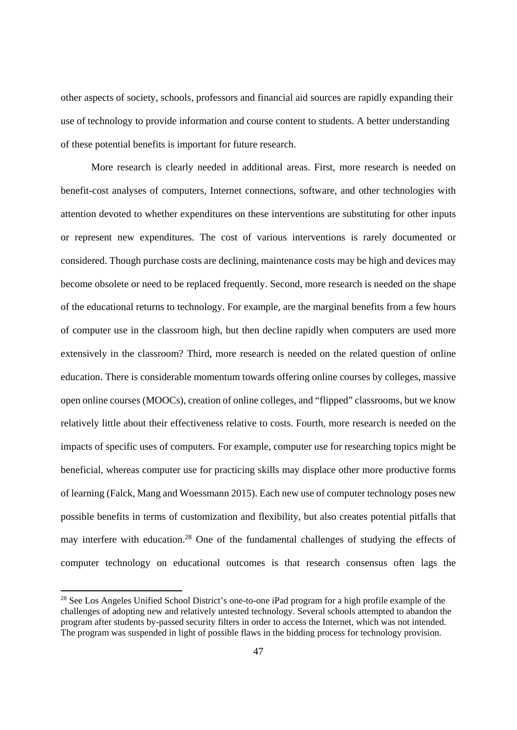other aspects of society, schools, professors and financial aid sources are rapidly expanding their use of technology to provide information and course content to students. A better understanding of these potential benefits is important for future research.

 More research is clearly needed in additional areas. First, more research is needed on benefit-cost analyses of computers, Internet connections, software, and other technologies with attention devoted to whether expenditures on these interventions are substituting for other inputs or represent new expenditures. The cost of various interventions is rarely documented or considered. Though purchase costs are declining, maintenance costs may be high and devices may become obsolete or need to be replaced frequently. Second, more research is needed on the shape of the educational returns to technology. For example, are the marginal benefits from a few hours of computer use in the classroom high, but then decline rapidly when computers are used more extensively in the classroom? Third, more research is needed on the related question of online education. There is considerable momentum towards offering online courses by colleges, massive open online courses (MOOCs), creation of online colleges, and "flipped" classrooms, but we know relatively little about their effectiveness relative to costs. Fourth, more research is needed on the impacts of specific uses of computers. For example, computer use for researching topics might be beneficial, whereas computer use for practicing skills may displace other more productive forms of learning (Falck, Mang and Woessmann 2015). Each new use of computer technology poses new possible benefits in terms of customization and flexibility, but also creates potential pitfalls that may interfere with education.<sup>28</sup> One of the fundamental challenges of studying the effects of computer technology on educational outcomes is that research consensus often lags the

<sup>&</sup>lt;sup>28</sup> See Los Angeles Unified School District's one-to-one iPad program for a high profile example of the challenges of adopting new and relatively untested technology. Several schools attempted to abandon the program after students by-passed security filters in order to access the Internet, which was not intended. The program was suspended in light of possible flaws in the bidding process for technology provision.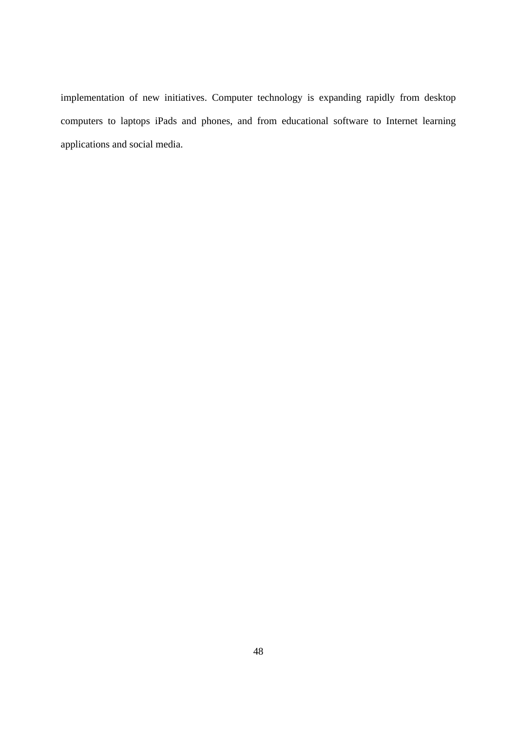implementation of new initiatives. Computer technology is expanding rapidly from desktop computers to laptops iPads and phones, and from educational software to Internet learning applications and social media.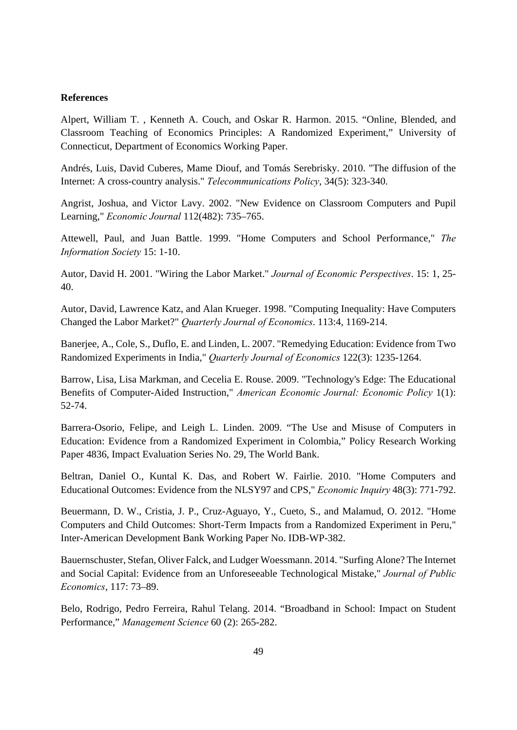#### **References**

Alpert, William T. , Kenneth A. Couch, and Oskar R. Harmon. 2015. "Online, Blended, and Classroom Teaching of Economics Principles: A Randomized Experiment," University of Connecticut, Department of Economics Working Paper.

Andrés, Luis, David Cuberes, Mame Diouf, and Tomás Serebrisky. 2010. "The diffusion of the Internet: A cross-country analysis." *Telecommunications Policy*, 34(5): 323-340.

Angrist, Joshua, and Victor Lavy. 2002. "New Evidence on Classroom Computers and Pupil Learning," *Economic Journal* 112(482): 735–765.

Attewell, Paul, and Juan Battle. 1999. "Home Computers and School Performance," *The Information Society* 15: 1-10.

Autor, David H. 2001. "Wiring the Labor Market." *Journal of Economic Perspectives*. 15: 1, 25- 40.

Autor, David, Lawrence Katz, and Alan Krueger. 1998. "Computing Inequality: Have Computers Changed the Labor Market?" *Quarterly Journal of Economics*. 113:4, 1169-214.

Banerjee, A., Cole, S., Duflo, E. and Linden, L. 2007. "Remedying Education: Evidence from Two Randomized Experiments in India," *Quarterly Journal of Economics* 122(3): 1235-1264.

Barrow, Lisa, Lisa Markman, and Cecelia E. Rouse. 2009. "Technology's Edge: The Educational Benefits of Computer-Aided Instruction," *American Economic Journal: Economic Policy* 1(1): 52-74.

Barrera-Osorio, Felipe, and Leigh L. Linden. 2009. "The Use and Misuse of Computers in Education: Evidence from a Randomized Experiment in Colombia," Policy Research Working Paper 4836, Impact Evaluation Series No. 29, The World Bank.

Beltran, Daniel O., Kuntal K. Das, and Robert W. Fairlie. 2010. "Home Computers and Educational Outcomes: Evidence from the NLSY97 and CPS," *Economic Inquiry* 48(3): 771-792.

Beuermann, D. W., Cristia, J. P., Cruz-Aguayo, Y., Cueto, S., and Malamud, O. 2012. "Home Computers and Child Outcomes: Short-Term Impacts from a Randomized Experiment in Peru," Inter-American Development Bank Working Paper No. IDB-WP-382.

Bauernschuster, Stefan, Oliver Falck, and Ludger Woessmann. 2014. "Surfing Alone? The Internet and Social Capital: Evidence from an Unforeseeable Technological Mistake," *Journal of Public Economics*, 117: 73–89.

Belo, Rodrigo, Pedro Ferreira, Rahul Telang. 2014. "Broadband in School: Impact on Student Performance," *Management Science* 60 (2): 265-282.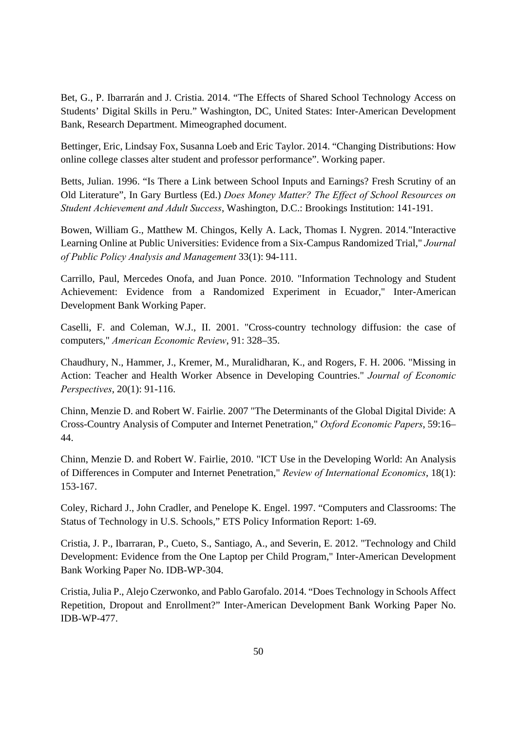Bet, G., P. Ibarrarán and J. Cristia. 2014. "The Effects of Shared School Technology Access on Students' Digital Skills in Peru." Washington, DC, United States: Inter-American Development Bank, Research Department. Mimeographed document.

Bettinger, Eric, Lindsay Fox, Susanna Loeb and Eric Taylor. 2014. "Changing Distributions: How online college classes alter student and professor performance". Working paper.

Betts, Julian. 1996. "Is There a Link between School Inputs and Earnings? Fresh Scrutiny of an Old Literature", In Gary Burtless (Ed.) *Does Money Matter? The Effect of School Resources on Student Achievement and Adult Success*, Washington, D.C.: Brookings Institution: 141-191.

Bowen, William G., Matthew M. Chingos, Kelly A. Lack, Thomas I. Nygren. 2014."Interactive Learning Online at Public Universities: Evidence from a Six-Campus Randomized Trial," *Journal of Public Policy Analysis and Management* 33(1): 94-111.

Carrillo, Paul, Mercedes Onofa, and Juan Ponce. 2010. "Information Technology and Student Achievement: Evidence from a Randomized Experiment in Ecuador," Inter-American Development Bank Working Paper.

Caselli, F. and Coleman, W.J., II. 2001. "Cross-country technology diffusion: the case of computers," *American Economic Review*, 91: 328–35.

Chaudhury, N., Hammer, J., Kremer, M., Muralidharan, K., and Rogers, F. H. 2006. "Missing in Action: Teacher and Health Worker Absence in Developing Countries." *Journal of Economic Perspectives*, 20(1): 91-116.

Chinn, Menzie D. and Robert W. Fairlie. 2007 "The Determinants of the Global Digital Divide: A Cross-Country Analysis of Computer and Internet Penetration," *Oxford Economic Papers*, 59:16– 44.

Chinn, Menzie D. and Robert W. Fairlie, 2010. "ICT Use in the Developing World: An Analysis of Differences in Computer and Internet Penetration," *Review of International Economics*, 18(1): 153-167.

Coley, Richard J., John Cradler, and Penelope K. Engel. 1997. "Computers and Classrooms: The Status of Technology in U.S. Schools," ETS Policy Information Report: 1-69.

Cristia, J. P., Ibarraran, P., Cueto, S., Santiago, A., and Severin, E. 2012. "Technology and Child Development: Evidence from the One Laptop per Child Program," Inter-American Development Bank Working Paper No. IDB-WP-304.

Cristia, Julia P., Alejo Czerwonko, and Pablo Garofalo. 2014. "Does Technology in Schools Affect Repetition, Dropout and Enrollment?" Inter-American Development Bank Working Paper No. IDB-WP-477.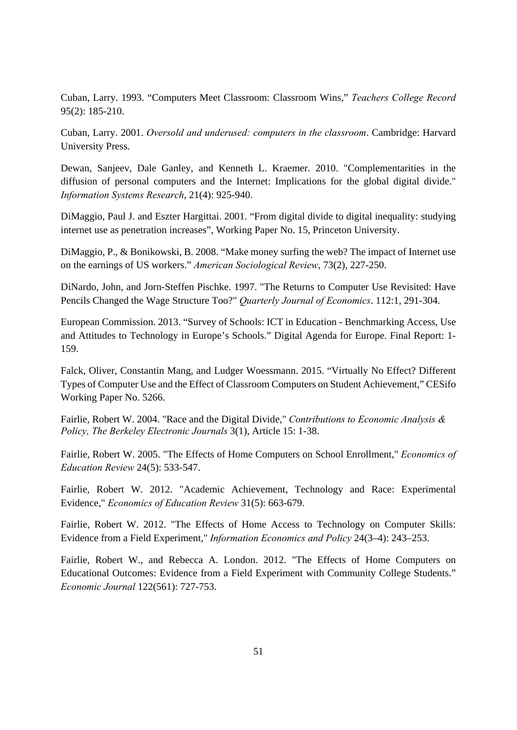Cuban, Larry. 1993. "Computers Meet Classroom: Classroom Wins," *Teachers College Record* 95(2): 185-210.

Cuban, Larry. 2001. *Oversold and underused: computers in the classroom*. Cambridge: Harvard University Press.

Dewan, Sanjeev, Dale Ganley, and Kenneth L. Kraemer. 2010. "Complementarities in the diffusion of personal computers and the Internet: Implications for the global digital divide." *Information Systems Research*, 21(4): 925-940.

DiMaggio, Paul J. and Eszter Hargittai. 2001. "From digital divide to digital inequality: studying internet use as penetration increases", Working Paper No. 15, Princeton University.

DiMaggio, P., & Bonikowski, B. 2008. "Make money surfing the web? The impact of Internet use on the earnings of US workers." *American Sociological Review*, 73(2), 227-250.

DiNardo, John, and Jorn-Steffen Pischke. 1997. "The Returns to Computer Use Revisited: Have Pencils Changed the Wage Structure Too?" *Quarterly Journal of Economics*. 112:1, 291-304.

European Commission. 2013. "Survey of Schools: ICT in Education - Benchmarking Access, Use and Attitudes to Technology in Europe's Schools." Digital Agenda for Europe. Final Report: 1- 159.

Falck, Oliver, Constantin Mang, and Ludger Woessmann. 2015. "Virtually No Effect? Different Types of Computer Use and the Effect of Classroom Computers on Student Achievement," CESifo Working Paper No. 5266.

Fairlie, Robert W. 2004. "Race and the Digital Divide," *Contributions to Economic Analysis & Policy, The Berkeley Electronic Journals* 3(1), Article 15: 1-38.

Fairlie, Robert W. 2005. "The Effects of Home Computers on School Enrollment," *Economics of Education Review* 24(5): 533-547.

Fairlie, Robert W. 2012. "Academic Achievement, Technology and Race: Experimental Evidence," *Economics of Education Review* 31(5): 663-679.

Fairlie, Robert W. 2012. "The Effects of Home Access to Technology on Computer Skills: Evidence from a Field Experiment," *Information Economics and Policy* 24(3–4): 243–253.

Fairlie, Robert W., and Rebecca A. London. 2012. "The Effects of Home Computers on Educational Outcomes: Evidence from a Field Experiment with Community College Students." *Economic Journal* 122(561): 727-753.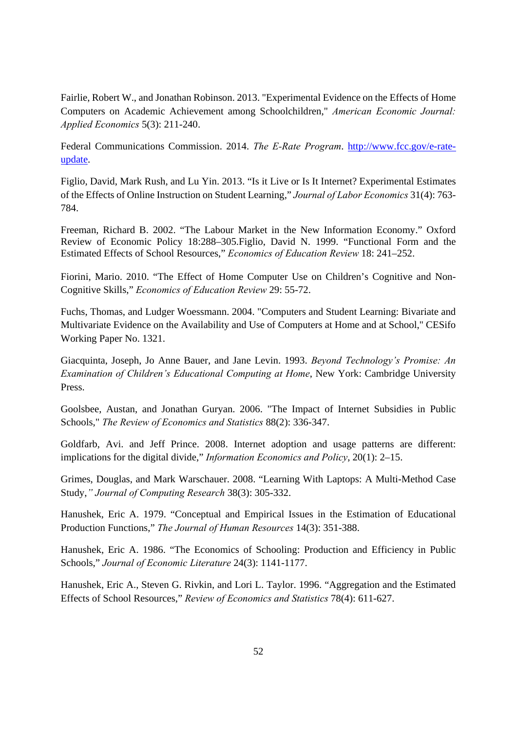Fairlie, Robert W., and Jonathan Robinson. 2013. "Experimental Evidence on the Effects of Home Computers on Academic Achievement among Schoolchildren," *American Economic Journal: Applied Economics* 5(3): 211-240.

Federal Communications Commission. 2014. *The E-Rate Program*. http://www.fcc.gov/e-rateupdate.

Figlio, David, Mark Rush, and Lu Yin. 2013. "Is it Live or Is It Internet? Experimental Estimates of the Effects of Online Instruction on Student Learning," *Journal of Labor Economics* 31(4): 763- 784.

Freeman, Richard B. 2002. "The Labour Market in the New Information Economy." Oxford Review of Economic Policy 18:288–305.Figlio, David N. 1999. "Functional Form and the Estimated Effects of School Resources," *Economics of Education Review* 18: 241–252.

Fiorini, Mario. 2010. "The Effect of Home Computer Use on Children's Cognitive and Non-Cognitive Skills," *Economics of Education Review* 29: 55-72.

Fuchs, Thomas, and Ludger Woessmann. 2004. "Computers and Student Learning: Bivariate and Multivariate Evidence on the Availability and Use of Computers at Home and at School," CESifo Working Paper No. 1321.

Giacquinta, Joseph, Jo Anne Bauer, and Jane Levin. 1993. *Beyond Technology's Promise: An Examination of Children's Educational Computing at Home*, New York: Cambridge University Press.

Goolsbee, Austan, and Jonathan Guryan. 2006. "The Impact of Internet Subsidies in Public Schools," *The Review of Economics and Statistics* 88(2): 336-347.

Goldfarb, Avi. and Jeff Prince. 2008. Internet adoption and usage patterns are different: implications for the digital divide," *Information Economics and Policy*, 20(1): 2–15.

Grimes, Douglas, and Mark Warschauer. 2008. "Learning With Laptops: A Multi-Method Case Study,*" Journal of Computing Research* 38(3): 305-332.

Hanushek, Eric A. 1979. "Conceptual and Empirical Issues in the Estimation of Educational Production Functions," *The Journal of Human Resources* 14(3): 351-388.

Hanushek, Eric A. 1986. "The Economics of Schooling: Production and Efficiency in Public Schools," *Journal of Economic Literature* 24(3): 1141-1177.

Hanushek, Eric A., Steven G. Rivkin, and Lori L. Taylor. 1996. "Aggregation and the Estimated Effects of School Resources," *Review of Economics and Statistics* 78(4): 611-627.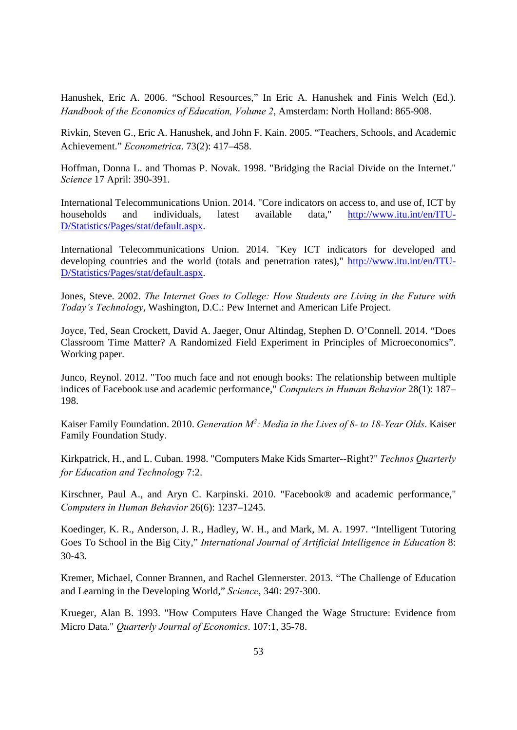Hanushek, Eric A. 2006. "School Resources," In Eric A. Hanushek and Finis Welch (Ed.). *Handbook of the Economics of Education, Volume 2*, Amsterdam: North Holland: 865-908.

Rivkin, Steven G., Eric A. Hanushek, and John F. Kain. 2005. "Teachers, Schools, and Academic Achievement." *Econometrica*. 73(2): 417–458.

Hoffman, Donna L. and Thomas P. Novak. 1998. "Bridging the Racial Divide on the Internet." *Science* 17 April: 390-391.

International Telecommunications Union. 2014. "Core indicators on access to, and use of, ICT by households and individuals, latest available data," http://www.itu.int/en/ITU-D/Statistics/Pages/stat/default.aspx.

International Telecommunications Union. 2014. "Key ICT indicators for developed and developing countries and the world (totals and penetration rates)," http://www.itu.int/en/ITU-D/Statistics/Pages/stat/default.aspx.

Jones, Steve. 2002. *The Internet Goes to College: How Students are Living in the Future with Today's Technology*, Washington, D.C.: Pew Internet and American Life Project.

Joyce, Ted, Sean Crockett, David A. Jaeger, Onur Altindag, Stephen D. O'Connell. 2014. "Does Classroom Time Matter? A Randomized Field Experiment in Principles of Microeconomics". Working paper.

Junco, Reynol. 2012. "Too much face and not enough books: The relationship between multiple indices of Facebook use and academic performance," *Computers in Human Behavior* 28(1): 187– 198.

Kaiser Family Foundation. 2010. *Generation M2 : Media in the Lives of 8- to 18-Year Olds*. Kaiser Family Foundation Study.

Kirkpatrick, H., and L. Cuban. 1998. "Computers Make Kids Smarter--Right?" *Technos Quarterly for Education and Technology* 7:2.

Kirschner, Paul A., and Aryn C. Karpinski. 2010. "Facebook® and academic performance," *Computers in Human Behavior* 26(6): 1237–1245.

Koedinger, K. R., Anderson, J. R., Hadley, W. H., and Mark, M. A. 1997. "Intelligent Tutoring Goes To School in the Big City," *International Journal of Artificial Intelligence in Education* 8: 30-43.

Kremer, Michael, Conner Brannen, and Rachel Glennerster. 2013. "The Challenge of Education and Learning in the Developing World," *Science*, 340: 297-300.

Krueger, Alan B. 1993. "How Computers Have Changed the Wage Structure: Evidence from Micro Data." *Quarterly Journal of Economics*. 107:1, 35-78.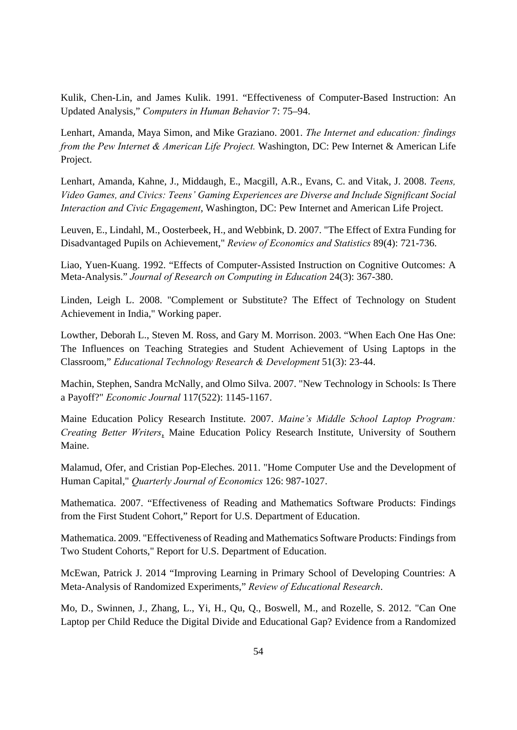Kulik, Chen-Lin, and James Kulik. 1991. "Effectiveness of Computer-Based Instruction: An Updated Analysis," *Computers in Human Behavior* 7: 75–94.

Lenhart, Amanda, Maya Simon, and Mike Graziano. 2001. *The Internet and education: findings from the Pew Internet & American Life Project.* Washington, DC: Pew Internet & American Life Project.

Lenhart, Amanda, Kahne, J., Middaugh, E., Macgill, A.R., Evans, C. and Vitak, J. 2008. *Teens, Video Games, and Civics: Teens' Gaming Experiences are Diverse and Include Significant Social Interaction and Civic Engagement*, Washington, DC: Pew Internet and American Life Project.

Leuven, E., Lindahl, M., Oosterbeek, H., and Webbink, D. 2007. "The Effect of Extra Funding for Disadvantaged Pupils on Achievement," *Review of Economics and Statistics* 89(4): 721-736.

Liao, Yuen-Kuang. 1992. "Effects of Computer-Assisted Instruction on Cognitive Outcomes: A Meta-Analysis." *Journal of Research on Computing in Education* 24(3): 367-380.

Linden, Leigh L. 2008. "Complement or Substitute? The Effect of Technology on Student Achievement in India," Working paper.

Lowther, Deborah L., Steven M. Ross, and Gary M. Morrison. 2003. "When Each One Has One: The Influences on Teaching Strategies and Student Achievement of Using Laptops in the Classroom," *Educational Technology Research & Development* 51(3): 23-44.

Machin, Stephen, Sandra McNally, and Olmo Silva. 2007. "New Technology in Schools: Is There a Payoff?" *Economic Journal* 117(522): 1145-1167.

Maine Education Policy Research Institute. 2007. *Maine's Middle School Laptop Program: Creating Better Writers*, Maine Education Policy Research Institute, University of Southern Maine.

Malamud, Ofer, and Cristian Pop-Eleches. 2011. "Home Computer Use and the Development of Human Capital," *Quarterly Journal of Economics* 126: 987-1027.

Mathematica. 2007. "Effectiveness of Reading and Mathematics Software Products: Findings from the First Student Cohort," Report for U.S. Department of Education.

Mathematica. 2009. "Effectiveness of Reading and Mathematics Software Products: Findings from Two Student Cohorts," Report for U.S. Department of Education.

McEwan, Patrick J. 2014 "Improving Learning in Primary School of Developing Countries: A Meta-Analysis of Randomized Experiments," *Review of Educational Research*.

Mo, D., Swinnen, J., Zhang, L., Yi, H., Qu, Q., Boswell, M., and Rozelle, S. 2012. "Can One Laptop per Child Reduce the Digital Divide and Educational Gap? Evidence from a Randomized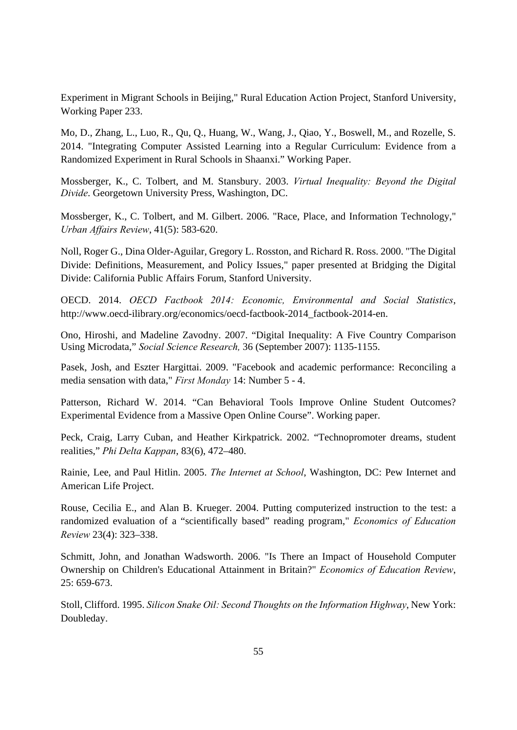Experiment in Migrant Schools in Beijing," Rural Education Action Project, Stanford University, Working Paper 233.

Mo, D., Zhang, L., Luo, R., Qu, Q., Huang, W., Wang, J., Qiao, Y., Boswell, M., and Rozelle, S. 2014. "Integrating Computer Assisted Learning into a Regular Curriculum: Evidence from a Randomized Experiment in Rural Schools in Shaanxi." Working Paper.

Mossberger, K., C. Tolbert, and M. Stansbury. 2003. *Virtual Inequality: Beyond the Digital Divide*. Georgetown University Press, Washington, DC.

Mossberger, K., C. Tolbert, and M. Gilbert. 2006. "Race, Place, and Information Technology," *Urban Affairs Review*, 41(5): 583-620.

Noll, Roger G., Dina Older-Aguilar, Gregory L. Rosston, and Richard R. Ross. 2000. "The Digital Divide: Definitions, Measurement, and Policy Issues," paper presented at Bridging the Digital Divide: California Public Affairs Forum, Stanford University.

OECD. 2014. *OECD Factbook 2014: Economic, Environmental and Social Statistics*, http://www.oecd-ilibrary.org/economics/oecd-factbook-2014 factbook-2014-en.

Ono, Hiroshi, and Madeline Zavodny. 2007. "Digital Inequality: A Five Country Comparison Using Microdata," *Social Science Research,* 36 (September 2007): 1135-1155.

Pasek, Josh, and Eszter Hargittai. 2009. "Facebook and academic performance: Reconciling a media sensation with data," *First Monday* 14: Number 5 - 4.

Patterson, Richard W. 2014. "Can Behavioral Tools Improve Online Student Outcomes? Experimental Evidence from a Massive Open Online Course". Working paper.

Peck, Craig, Larry Cuban, and Heather Kirkpatrick. 2002. "Technopromoter dreams, student realities," *Phi Delta Kappan*, 83(6), 472–480.

Rainie, Lee, and Paul Hitlin. 2005. *The Internet at School*, Washington, DC: Pew Internet and American Life Project.

Rouse, Cecilia E., and Alan B. Krueger. 2004. Putting computerized instruction to the test: a randomized evaluation of a "scientifically based" reading program," *Economics of Education Review* 23(4): 323–338.

Schmitt, John, and Jonathan Wadsworth. 2006. "Is There an Impact of Household Computer Ownership on Children's Educational Attainment in Britain?" *Economics of Education Review*, 25: 659-673.

Stoll, Clifford. 1995. *Silicon Snake Oil: Second Thoughts on the Information Highway*, New York: Doubleday.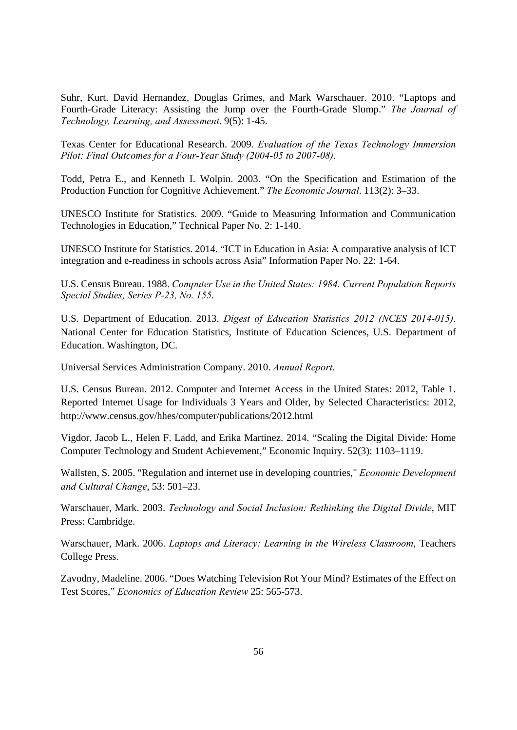Suhr, Kurt. David Hernandez, Douglas Grimes, and Mark Warschauer. 2010. "Laptops and Fourth-Grade Literacy: Assisting the Jump over the Fourth-Grade Slump." *The Journal of Technology, Learning, and Assessment*. 9(5): 1-45.

Texas Center for Educational Research. 2009. *Evaluation of the Texas Technology Immersion Pilot: Final Outcomes for a Four-Year Study (2004-05 to 2007-08)*.

Todd, Petra E., and Kenneth I. Wolpin. 2003. "On the Specification and Estimation of the Production Function for Cognitive Achievement." *The Economic Journal*. 113(2): 3–33.

UNESCO Institute for Statistics. 2009. "Guide to Measuring Information and Communication Technologies in Education," Technical Paper No. 2: 1-140.

UNESCO Institute for Statistics. 2014. "ICT in Education in Asia: A comparative analysis of ICT integration and e-readiness in schools across Asia" Information Paper No. 22: 1-64.

U.S. Census Bureau. 1988. *Computer Use in the United States: 1984. Current Population Reports Special Studies, Series P-23, No. 155*.

U.S. Department of Education. 2013. *Digest of Education Statistics 2012 (NCES 2014-015)*. National Center for Education Statistics, Institute of Education Sciences, U.S. Department of Education. Washington, DC.

Universal Services Administration Company. 2010. *Annual Report*.

U.S. Census Bureau. 2012. Computer and Internet Access in the United States: 2012, Table 1. Reported Internet Usage for Individuals 3 Years and Older, by Selected Characteristics: 2012, http://www.census.gov/hhes/computer/publications/2012.html

Vigdor, Jacob L., Helen F. Ladd, and Erika Martinez. 2014. "Scaling the Digital Divide: Home Computer Technology and Student Achievement," Economic Inquiry. 52(3): 1103–1119.

Wallsten, S. 2005. "Regulation and internet use in developing countries," *Economic Development and Cultural Change*, 53: 501–23.

Warschauer, Mark. 2003. *Technology and Social Inclusion: Rethinking the Digital Divide*, MIT Press: Cambridge.

Warschauer, Mark. 2006. *Laptops and Literacy: Learning in the Wireless Classroom*, Teachers College Press.

Zavodny, Madeline. 2006. "Does Watching Television Rot Your Mind? Estimates of the Effect on Test Scores," *Economics of Education Review* 25: 565-573.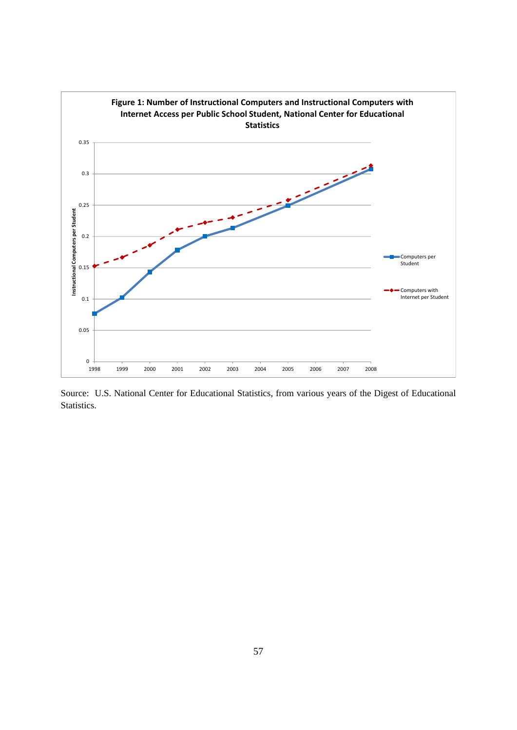

Source: U.S. National Center for Educational Statistics, from various years of the Digest of Educational Statistics.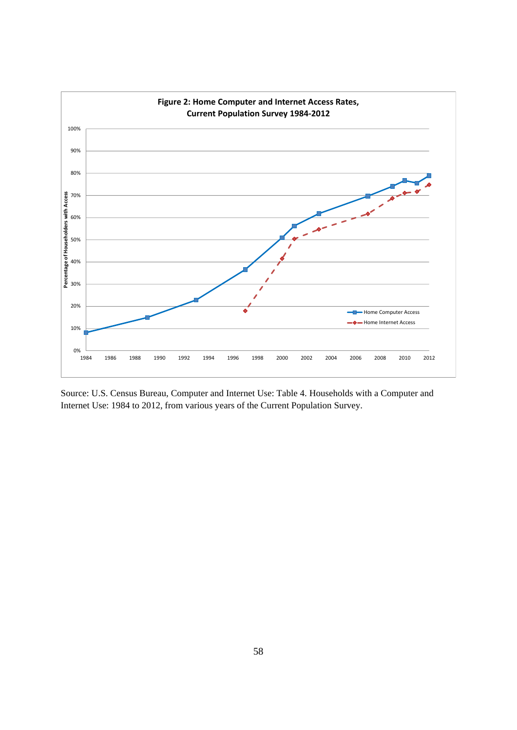

Source: U.S. Census Bureau, Computer and Internet Use: Table 4. Households with a Computer and Internet Use: 1984 to 2012, from various years of the Current Population Survey.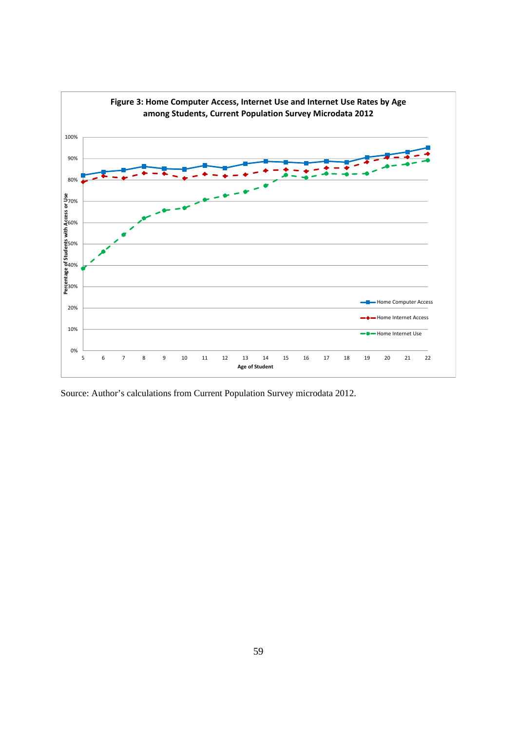

Source: Author's calculations from Current Population Survey microdata 2012.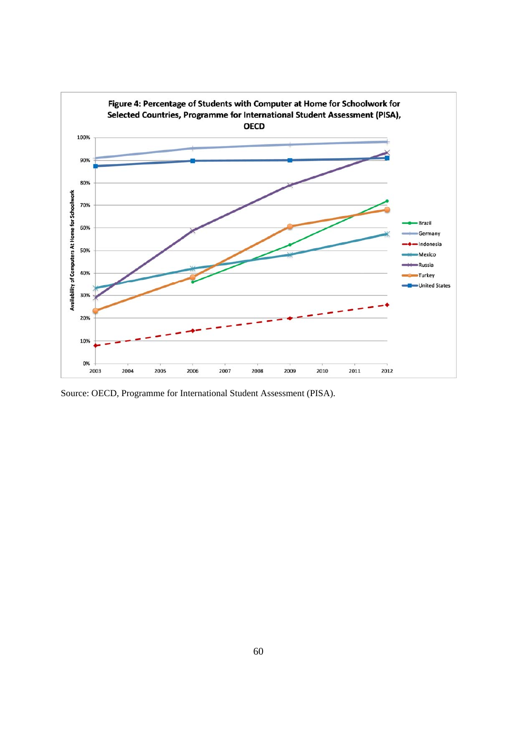

Source: OECD, Programme for International Student Assessment (PISA).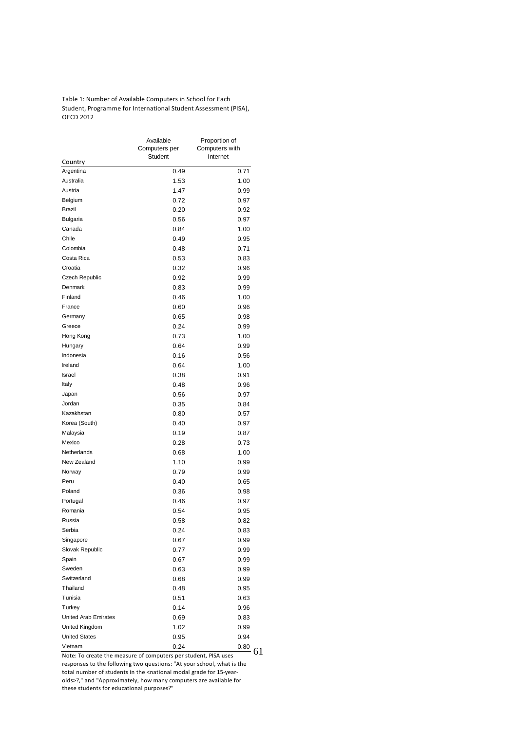Table 1: Number of Available Computers in School for Each Student, Programme for International Student Assessment (PISA), OECD 2012

|                                        | Available     | Proportion of  |
|----------------------------------------|---------------|----------------|
|                                        | Computers per | Computers with |
| Country                                | Student       | Internet       |
| Argentina                              | 0.49          | 0.71           |
| Australia                              | 1.53          | 1.00           |
| Austria                                | 1.47          | 0.99           |
| Belgium                                | 0.72          | 0.97           |
| Brazil                                 | 0.20          | 0.92           |
| <b>Bulgaria</b>                        | 0.56          | 0.97           |
| Canada                                 | 0.84          | 1.00           |
| Chile                                  | 0.49          | 0.95           |
| Colombia                               | 0.48          | 0.71           |
| Costa Rica                             | 0.53          | 0.83           |
| Croatia                                | 0.32          | 0.96           |
| Czech Republic                         | 0.92          | 0.99           |
| Denmark                                | 0.83          | 0.99           |
| Finland                                | 0.46          | 1.00           |
| France                                 | 0.60          | 0.96           |
| Germany                                | 0.65          | 0.98           |
| Greece                                 | 0.24          | 0.99           |
| Hong Kong                              | 0.73          | 1.00           |
| Hungary                                | 0.64          | 0.99           |
| Indonesia                              | 0.16          | 0.56           |
| Ireland                                | 0.64          | 1.00           |
| Israel                                 | 0.38          | 0.91           |
| Italy                                  | 0.48          | 0.96           |
| Japan                                  | 0.56          | 0.97           |
| Jordan                                 | 0.35          | 0.84           |
| Kazakhstan                             | 0.80          | 0.57           |
| Korea (South)                          | 0.40          | 0.97           |
| Malaysia                               | 0.19          | 0.87           |
| Mexico                                 | 0.28          | 0.73           |
| Netherlands                            | 0.68          | 1.00           |
| New Zealand                            | 1.10          | 0.99           |
| Norway                                 | 0.79          | 0.99           |
| Peru                                   | 0.40          | 0.65           |
| Poland                                 | 0.36          | 0.98           |
| Portugal                               | 0.46          | 0.97           |
| Romania                                | 0.54          | 0.95           |
| Russia                                 | 0.58          | 0.82           |
| Serbia                                 | 0.24          | 0.83           |
| Singapore                              | 0.67          | 0.99           |
| Slovak Republic                        | 0.77          | 0.99           |
| Spain                                  | 0.67          | 0.99           |
| Sweden                                 | 0.63          | 0.99           |
| Switzerland                            | 0.68          | 0.99           |
| Thailand                               | 0.48          | 0.95           |
| Tunisia                                |               |                |
| Turkey                                 | 0.51<br>0.14  | 0.63<br>0.96   |
| United Arab Emirates                   |               |                |
|                                        | 0.69          | 0.83           |
| United Kingdom<br><b>United States</b> | 1.02          | 0.99           |
|                                        | 0.95          | 0.94           |
| Vietnam                                | 0.24          | 0.80<br>61     |

Note: To create the measure of computers per student, PISA uses responses to the following two questions: "At your school, what is the total number of students in the <national modal grade for 15‐year‐ olds>?," and "Approximately, how many computers are available for these students for educational purposes?"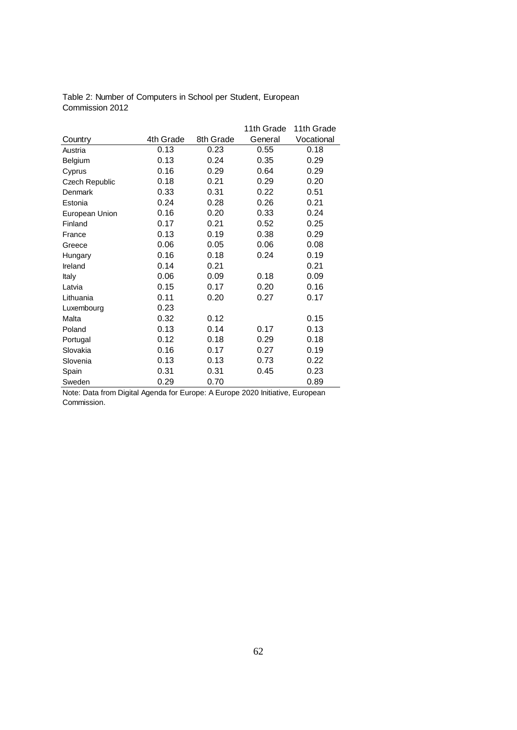|                |           |           | 11th Grade | 11th Grade |
|----------------|-----------|-----------|------------|------------|
| Country        | 4th Grade | 8th Grade | General    | Vocational |
| Austria        | 0.13      | 0.23      | 0.55       | 0.18       |
| Belgium        | 0.13      | 0.24      | 0.35       | 0.29       |
| Cyprus         | 0.16      | 0.29      | 0.64       | 0.29       |
| Czech Republic | 0.18      | 0.21      | 0.29       | 0.20       |
| Denmark        | 0.33      | 0.31      | 0.22       | 0.51       |
| Estonia        | 0.24      | 0.28      | 0.26       | 0.21       |
| European Union | 0.16      | 0.20      | 0.33       | 0.24       |
| Finland        | 0.17      | 0.21      | 0.52       | 0.25       |
| France         | 0.13      | 0.19      | 0.38       | 0.29       |
| Greece         | 0.06      | 0.05      | 0.06       | 0.08       |
| Hungary        | 0.16      | 0.18      | 0.24       | 0.19       |
| Ireland        | 0.14      | 0.21      |            | 0.21       |
| Italy          | 0.06      | 0.09      | 0.18       | 0.09       |
| Latvia         | 0.15      | 0.17      | 0.20       | 0.16       |
| Lithuania      | 0.11      | 0.20      | 0.27       | 0.17       |
| Luxembourg     | 0.23      |           |            |            |
| Malta          | 0.32      | 0.12      |            | 0.15       |
| Poland         | 0.13      | 0.14      | 0.17       | 0.13       |
| Portugal       | 0.12      | 0.18      | 0.29       | 0.18       |
| Slovakia       | 0.16      | 0.17      | 0.27       | 0.19       |
| Slovenia       | 0.13      | 0.13      | 0.73       | 0.22       |
| Spain          | 0.31      | 0.31      | 0.45       | 0.23       |
| Sweden         | 0.29      | 0.70      |            | 0.89       |

Table 2: Number of Computers in School per Student, European Commission 2012

Note: Data from Digital Agenda for Europe: A Europe 2020 Initiative, European Commission.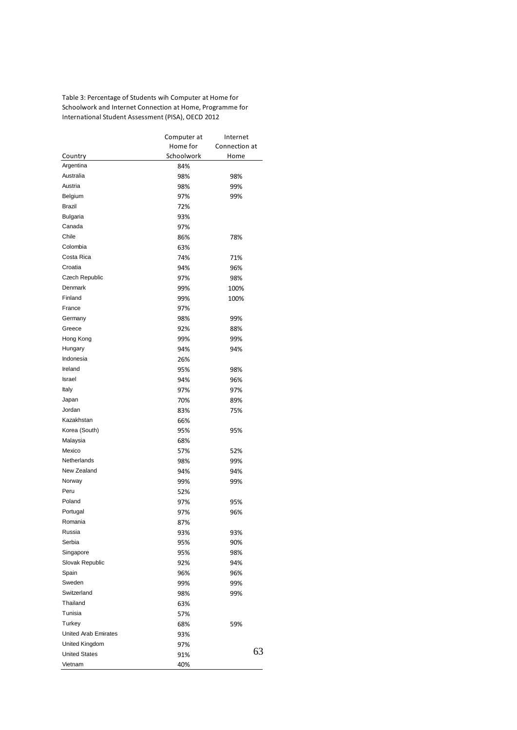Table 3: Percentage of Students wih Computer at Home for Schoolwork and Internet Connection at Home, Programme for International Student Assessment (PISA), OECD 2012

|                             | Computer at |               |
|-----------------------------|-------------|---------------|
|                             | Home for    | Connection at |
| Country                     | Schoolwork  | Home          |
| Argentina                   | 84%         |               |
| Australia                   | 98%         | 98%           |
| Austria                     | 98%         | 99%           |
| Belgium                     | 97%         | 99%           |
| Brazil                      | 72%         |               |
| <b>Bulgaria</b>             | 93%         |               |
| Canada                      | 97%         |               |
| Chile                       | 86%         | 78%           |
| Colombia                    | 63%         |               |
| Costa Rica                  | 74%         | 71%           |
| Croatia                     | 94%         | 96%           |
| Czech Republic              | 97%         | 98%           |
| Denmark                     | 99%         | 100%          |
| Finland                     | 99%         | 100%          |
| France                      | 97%         |               |
| Germany                     | 98%         | 99%           |
| Greece                      | 92%         | 88%           |
| Hong Kong                   | 99%         | 99%           |
| Hungary                     | 94%         | 94%           |
| Indonesia                   | 26%         |               |
| Ireland                     | 95%         | 98%           |
| Israel                      | 94%         | 96%           |
| Italy                       | 97%         | 97%           |
| Japan                       | 70%         | 89%           |
| Jordan                      | 83%         | 75%           |
| Kazakhstan                  | 66%         |               |
| Korea (South)               | 95%         | 95%           |
| Malaysia                    | 68%         |               |
| Mexico                      | 57%         | 52%           |
| Netherlands                 | 98%         | 99%           |
| New Zealand                 | 94%         | 94%           |
| Norway                      | 99%         | 99%           |
| Peru                        | 52%         |               |
| Poland                      | 97%         | 95%           |
| Portugal                    | 97%         | 96%           |
| Romania                     | 87%         |               |
| Russia                      | 93%         | 93%           |
| Serbia                      | 95%         | 90%           |
| Singapore                   | 95%         | 98%           |
| Slovak Republic             | 92%         | 94%           |
| Spain                       | 96%         | 96%           |
| Sweden                      | 99%         | 99%           |
| Switzerland                 | 98%         | 99%           |
| Thailand                    |             |               |
| Tunisia                     | 63%         |               |
| Turkey                      | 57%         |               |
| <b>United Arab Emirates</b> | 68%         | 59%           |
|                             | 93%         |               |
| United Kingdom              | 97%         | 63            |
| <b>United States</b>        | 91%         |               |
| Vietnam                     | 40%         |               |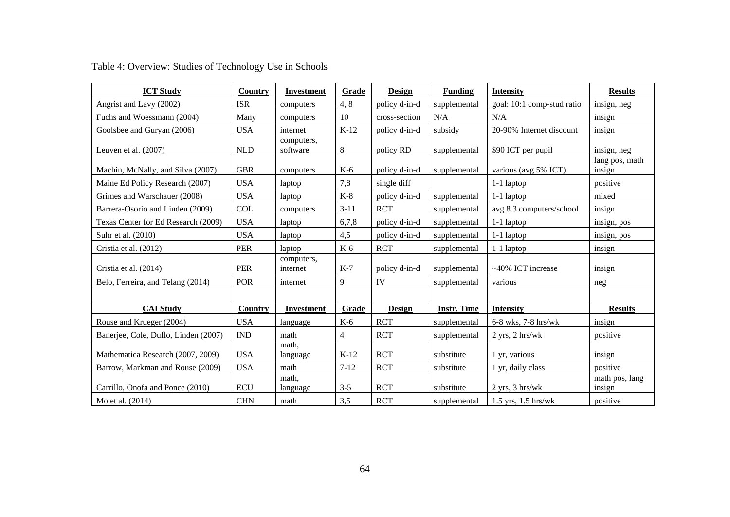| <b>ICT Study</b>                     | Country    | <b>Investment</b>      | Grade          | <b>Design</b> | <b>Funding</b>     | <b>Intensity</b>                             | <b>Results</b>           |
|--------------------------------------|------------|------------------------|----------------|---------------|--------------------|----------------------------------------------|--------------------------|
| Angrist and Lavy (2002)              | <b>ISR</b> | computers              | 4,8            | policy d-in-d | supplemental       | goal: 10:1 comp-stud ratio                   | insign, neg              |
| Fuchs and Woessmann (2004)           | Many       | computers              | 10             | cross-section | N/A                | N/A                                          | insign                   |
| Goolsbee and Guryan (2006)           | <b>USA</b> | internet               | $K-12$         | policy d-in-d | subsidy            | 20-90% Internet discount                     | insign                   |
| Leuven et al. $(2007)$               | <b>NLD</b> | computers,<br>software | $\,8\,$        | policy RD     | supplemental       | \$90 ICT per pupil                           | insign, neg              |
| Machin, McNally, and Silva (2007)    | <b>GBR</b> | computers              | $K-6$          | policy d-in-d | supplemental       | various (avg 5% ICT)                         | lang pos, math<br>insign |
| Maine Ed Policy Research (2007)      | <b>USA</b> | laptop                 | 7,8            | single diff   |                    | $1-1$ laptop                                 | positive                 |
| Grimes and Warschauer (2008)         | <b>USA</b> | laptop                 | $K-8$          | policy d-in-d | supplemental       | $1-1$ laptop                                 | mixed                    |
| Barrera-Osorio and Linden (2009)     | COL        | computers              | $3 - 11$       | <b>RCT</b>    | supplemental       | avg 8.3 computers/school                     | insign                   |
| Texas Center for Ed Research (2009)  | <b>USA</b> | laptop                 | 6,7,8          | policy d-in-d | supplemental       | 1-1 laptop                                   | insign, pos              |
| Suhr et al. (2010)                   | <b>USA</b> | laptop                 | 4,5            | policy d-in-d | supplemental       | 1-1 laptop                                   | insign, pos              |
| Cristia et al. (2012)                | <b>PER</b> | laptop                 | $K-6$          | <b>RCT</b>    | supplemental       | 1-1 laptop                                   | insign                   |
| Cristia et al. (2014)                | <b>PER</b> | computers,<br>internet | $K-7$          | policy d-in-d | supplemental       | ~40% ICT increase                            | insign                   |
| Belo, Ferreira, and Telang (2014)    | POR        | internet               | 9              | IV            | supplemental       | various                                      | neg                      |
| <b>CAI Study</b>                     | Country    | <b>Investment</b>      | Grade          | <b>Design</b> | <b>Instr. Time</b> | <b>Intensity</b>                             | <b>Results</b>           |
| Rouse and Krueger (2004)             | <b>USA</b> | language               | $K-6$          | <b>RCT</b>    | supplemental       | 6-8 wks, 7-8 hrs/wk                          | insign                   |
| Banerjee, Cole, Duflo, Linden (2007) | <b>IND</b> | math                   | $\overline{4}$ | <b>RCT</b>    | supplemental       | 2 yrs, 2 hrs/wk                              | positive                 |
| Mathematica Research (2007, 2009)    | <b>USA</b> | math,<br>language      | $K-12$         | <b>RCT</b>    | substitute         | 1 yr, various                                | insign                   |
| Barrow, Markman and Rouse (2009)     | <b>USA</b> | math                   | $7 - 12$       | <b>RCT</b>    | substitute         | 1 yr, daily class                            | positive                 |
| Carrillo, Onofa and Ponce (2010)     | <b>ECU</b> | math,<br>language      | $3 - 5$        | <b>RCT</b>    | substitute         | $2 \, \text{yrs}, 3 \, \text{hrs}/\text{wk}$ | math pos, lang<br>insign |
| Mo et al. (2014)                     | <b>CHN</b> | math                   | 3,5            | <b>RCT</b>    | supplemental       | $1.5$ yrs, $1.5$ hrs/wk                      | positive                 |

Table 4: Overview: Studies of Technology Use in Schools